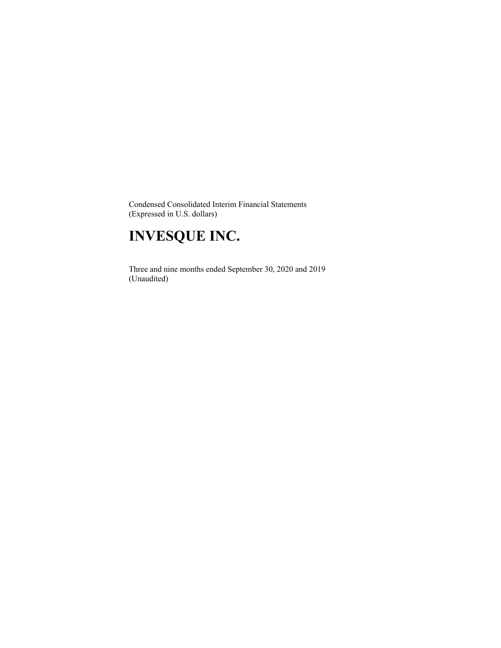Condensed Consolidated Interim Financial Statements (Expressed in U.S. dollars)

# **INVESQUE INC.**

 Three and nine months ended September 30, 2020 and 2019 (Unaudited)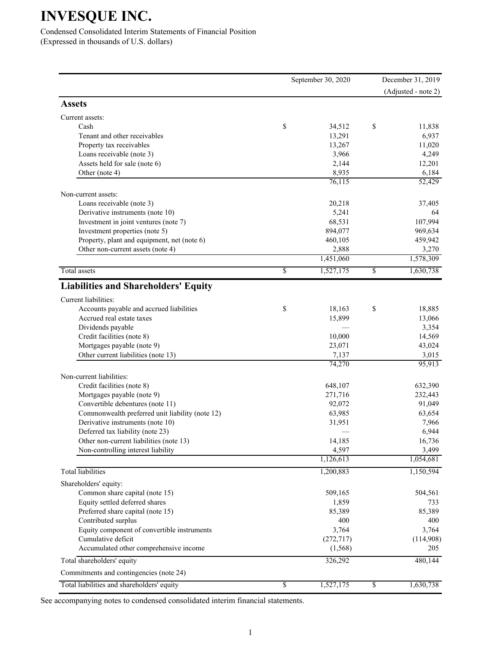Condensed Consolidated Interim Statements of Financial Position (Expressed in thousands of U.S. dollars)

|                                                              | September 30, 2020     | December 31, 2019   |
|--------------------------------------------------------------|------------------------|---------------------|
|                                                              |                        | (Adjusted - note 2) |
| <b>Assets</b>                                                |                        |                     |
| Current assets:                                              |                        |                     |
| Cash                                                         | \$<br>34,512           | \$<br>11,838        |
| Tenant and other receivables                                 | 13,291                 | 6,937               |
| Property tax receivables                                     | 13,267                 | 11,020              |
| Loans receivable (note 3)                                    | 3,966                  | 4,249               |
| Assets held for sale (note 6)                                | 2,144                  | 12,201              |
| Other (note 4)                                               | 8,935                  | 6,184               |
|                                                              | 76,115                 | 52,429              |
| Non-current assets:                                          |                        |                     |
| Loans receivable (note 3)                                    | 20,218                 | 37,405              |
| Derivative instruments (note 10)                             | 5,241                  | 64                  |
| Investment in joint ventures (note 7)                        | 68,531                 | 107,994             |
| Investment properties (note 5)                               | 894,077                | 969,634             |
| Property, plant and equipment, net (note 6)                  | 460,105                | 459,942             |
| Other non-current assets (note 4)                            | 2,888                  | 3,270               |
|                                                              | 1,451,060              | 1,578,309           |
| Total assets                                                 | \$<br>1,527,175        | \$<br>1,630,738     |
| <b>Liabilities and Shareholders' Equity</b>                  |                        |                     |
| Current liabilities:                                         |                        |                     |
| Accounts payable and accrued liabilities                     | \$<br>18,163           | \$<br>18,885        |
| Accrued real estate taxes                                    | 15,899                 | 13,066              |
| Dividends payable                                            |                        | 3,354               |
| Credit facilities (note 8)                                   | 10,000                 | 14,569              |
| Mortgages payable (note 9)                                   | 23,071                 | 43,024              |
| Other current liabilities (note 13)                          | 7,137                  | 3,015               |
|                                                              | 74,270                 | 95,913              |
| Non-current liabilities:                                     |                        |                     |
| Credit facilities (note 8)                                   | 648,107                | 632,390             |
| Mortgages payable (note 9)                                   | 271,716                | 232,443             |
| Convertible debentures (note 11)                             | 92,072                 | 91,049              |
| Commonwealth preferred unit liability (note 12)              | 63,985                 | 63,654              |
| Derivative instruments (note 10)                             | 31,951                 | 7,966               |
| Deferred tax liability (note 23)                             |                        | 6,944               |
| Other non-current liabilities (note 13)                      | 14,185                 | 16,736              |
| Non-controlling interest liability                           | 4,597                  | 3,499               |
|                                                              | 1,126,613              | 1,054,681           |
| <b>Total</b> liabilities                                     | 1,200,883              | 1,150,594           |
| Shareholders' equity:                                        |                        |                     |
| Common share capital (note 15)                               | 509,165                | 504,561             |
| Equity settled deferred shares                               | 1,859                  | 733                 |
| Preferred share capital (note 15)                            | 85,389                 | 85,389              |
| Contributed surplus                                          | 400                    | 400                 |
| Equity component of convertible instruments                  | 3,764                  | 3,764               |
| Cumulative deficit<br>Accumulated other comprehensive income | (272, 717)<br>(1, 568) | (114,908)<br>205    |
| Total shareholders' equity                                   | 326,292                | 480,144             |
| Commitments and contingencies (note 24)                      |                        |                     |
| Total liabilities and shareholders' equity                   | \$<br>1,527,175        | \$<br>1,630,738     |
|                                                              |                        |                     |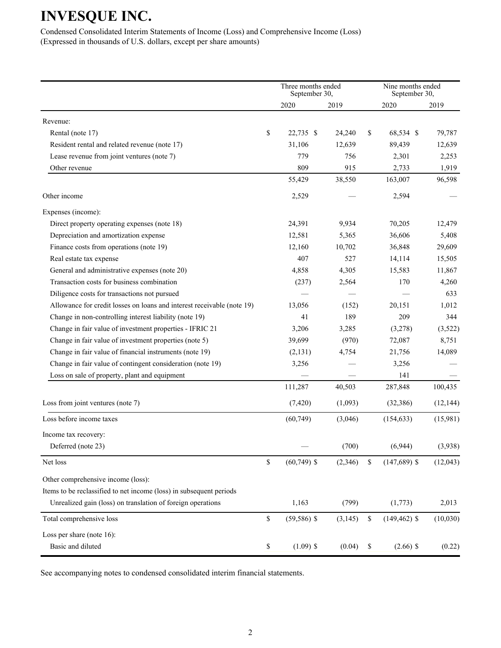Condensed Consolidated Interim Statements of Income (Loss) and Comprehensive Income (Loss) (Expressed in thousands of U.S. dollars, except per share amounts)

|                                                                        |              | Three months ended<br>September 30, |          | Nine months ended<br>September 30, |           |
|------------------------------------------------------------------------|--------------|-------------------------------------|----------|------------------------------------|-----------|
|                                                                        |              | 2020                                | 2019     | 2020                               | 2019      |
| Revenue:                                                               |              |                                     |          |                                    |           |
| Rental (note 17)                                                       | \$           | 22,735 \$                           | 24,240   | \$<br>68,534 \$                    | 79,787    |
| Resident rental and related revenue (note 17)                          |              | 31,106                              | 12,639   | 89,439                             | 12,639    |
| Lease revenue from joint ventures (note 7)                             |              | 779                                 | 756      | 2,301                              | 2,253     |
| Other revenue                                                          |              | 809                                 | 915      | 2,733                              | 1,919     |
|                                                                        |              | 55,429                              | 38,550   | 163,007                            | 96,598    |
| Other income                                                           |              | 2,529                               |          | 2,594                              |           |
| Expenses (income):                                                     |              |                                     |          |                                    |           |
| Direct property operating expenses (note 18)                           |              | 24,391                              | 9,934    | 70,205                             | 12,479    |
| Depreciation and amortization expense                                  |              | 12,581                              | 5,365    | 36,606                             | 5,408     |
| Finance costs from operations (note 19)                                |              | 12,160                              | 10,702   | 36,848                             | 29,609    |
| Real estate tax expense                                                |              | 407                                 | 527      | 14,114                             | 15,505    |
| General and administrative expenses (note 20)                          |              | 4,858                               | 4,305    | 15,583                             | 11,867    |
| Transaction costs for business combination                             |              | (237)                               | 2,564    | 170                                | 4,260     |
| Diligence costs for transactions not pursued                           |              |                                     |          |                                    | 633       |
| Allowance for credit losses on loans and interest receivable (note 19) |              | 13,056                              | (152)    | 20,151                             | 1,012     |
| Change in non-controlling interest liability (note 19)                 |              | 41                                  | 189      | 209                                | 344       |
| Change in fair value of investment properties - IFRIC 21               |              | 3,206                               | 3,285    | (3,278)                            | (3,522)   |
| Change in fair value of investment properties (note 5)                 |              | 39,699                              | (970)    | 72,087                             | 8,751     |
| Change in fair value of financial instruments (note 19)                |              | (2, 131)                            | 4,754    | 21,756                             | 14,089    |
| Change in fair value of contingent consideration (note 19)             |              | 3,256                               |          | 3,256                              |           |
| Loss on sale of property, plant and equipment                          |              |                                     |          | 141                                |           |
|                                                                        |              | 111,287                             | 40,503   | 287,848                            | 100,435   |
| Loss from joint ventures (note 7)                                      |              | (7,420)                             | (1,093)  | (32, 386)                          | (12, 144) |
| Loss before income taxes                                               |              | (60, 749)                           | (3,046)  | (154, 633)                         | (15,981)  |
| Income tax recovery:                                                   |              |                                     |          |                                    |           |
| Deferred (note 23)                                                     |              |                                     | (700)    | (6,944)                            | (3,938)   |
| Net loss                                                               | $\mathbb{S}$ | $(60, 749)$ \$                      | (2,346)  | \$<br>$(147,689)$ \$               | (12,043)  |
| Other comprehensive income (loss):                                     |              |                                     |          |                                    |           |
| Items to be reclassified to net income (loss) in subsequent periods    |              |                                     |          |                                    |           |
| Unrealized gain (loss) on translation of foreign operations            |              | 1,163                               | (799)    | (1,773)                            | 2,013     |
| Total comprehensive loss                                               | $\mathbb{S}$ | $(59, 586)$ \$                      | (3, 145) | \$<br>$(149, 462)$ \$              | (10,030)  |
| Loss per share (note 16):                                              |              |                                     |          |                                    |           |
| Basic and diluted                                                      | \$           | $(1.09)$ \$                         | (0.04)   | \$<br>$(2.66)$ \$                  | (0.22)    |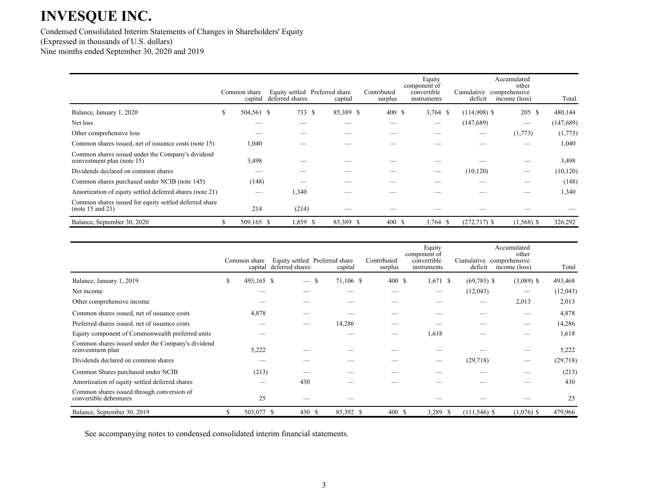Condensed Consolidated Interim Statements of Changes in Shareholders' Equity (Expressed in thousands of U.S. dollars) Nine months ended September 30, 2020 and 2019

|                                                                                  |    | Common share<br>capital | deferred shares | Equity settled Preferred share<br>capital | Contributed<br>surplus | Equity<br>component of<br>convertible<br>instruments | deficit         | Accumulated<br>other<br>Cumulative comprehensive<br>income (loss) | Total      |
|----------------------------------------------------------------------------------|----|-------------------------|-----------------|-------------------------------------------|------------------------|------------------------------------------------------|-----------------|-------------------------------------------------------------------|------------|
| Balance, January 1, 2020                                                         | S. | 504,561 \$              | 733 \$          | 85,389 \$                                 | 400 \$                 | $3,764$ \$                                           | $(114,908)$ \$  | 205S                                                              | 480,144    |
| Net loss                                                                         |    |                         |                 |                                           |                        |                                                      | (147, 689)      |                                                                   | (147, 689) |
| Other comprehensive loss                                                         |    |                         |                 |                                           |                        |                                                      |                 | (1,773)                                                           | (1,773)    |
| Common shares issued, net of issuance costs (note 15)                            |    | 1,040                   |                 |                                           |                        |                                                      |                 |                                                                   | 1,040      |
| Common shares issued under the Company's dividend<br>reinvestment plan (note 15) |    | 3,498                   |                 |                                           |                        |                                                      |                 |                                                                   | 3,498      |
| Dividends declared on common shares                                              |    |                         |                 |                                           |                        |                                                      | (10, 120)       |                                                                   | (10, 120)  |
| Common shares purchased under NCIB (note 145)                                    |    | (148)                   |                 |                                           |                        |                                                      |                 |                                                                   | (148)      |
| Amortization of equity settled deferred shares (note 21)                         |    |                         | 1,340           |                                           |                        |                                                      |                 |                                                                   | 1,340      |
| Common shares issued for equity settled deferred share<br>(note 15 and 21)       |    | 214                     | (214)           |                                           |                        |                                                      |                 |                                                                   |            |
| Balance, September 30, 2020                                                      | S. | 509,165 \$              | 1,859 \$        | 85,389 \$                                 | 400S                   | $3,764$ \$                                           | $(272, 717)$ \$ | $(1,568)$ \$                                                      | 326,292    |

|                                                                        |    | Common share<br>capital | deferred shares                 | Equity settled Preferred share<br>capital | Contributed<br>surplus | component of | Equity<br>convertible<br>instruments | Cumulative comprehensive<br>deficit | Accumulated<br>income (loss) | other        | Total    |
|------------------------------------------------------------------------|----|-------------------------|---------------------------------|-------------------------------------------|------------------------|--------------|--------------------------------------|-------------------------------------|------------------------------|--------------|----------|
| Balance, January 1, 2019                                               | \$ | 493,165 \$              | $\hspace{0.1mm}-\hspace{0.1mm}$ | -S<br>71,106 \$                           |                        | 400 \$       | $1,671$ \$                           | $(69,785)$ \$                       |                              | $(3,089)$ \$ | 493,468  |
| Net income                                                             |    |                         |                                 |                                           |                        |              |                                      | (12,043)                            |                              |              | (12,043) |
| Other comprehensive income                                             |    |                         |                                 |                                           |                        |              |                                      |                                     |                              | 2,013        | 2,013    |
| Common shares issued, net of issuance costs                            |    | 4,878                   |                                 |                                           |                        |              |                                      |                                     |                              |              | 4,878    |
| Preferred shares issued, net of issuance costs                         |    |                         |                                 | 14,286                                    |                        |              |                                      |                                     |                              |              | 14,286   |
| Equity component of Commonwealth preferred units                       |    |                         |                                 |                                           |                        |              | 1,618                                |                                     |                              |              | 1,618    |
| Common shares issued under the Company's dividend<br>reinvestment plan |    | 5,222                   |                                 |                                           |                        |              |                                      |                                     |                              |              | 5,222    |
| Dividends declared on common shares                                    |    |                         |                                 |                                           |                        |              |                                      | (29,718)                            |                              |              | (29,718) |
| Common Shares purchased under NCIB                                     |    | (213)                   |                                 |                                           |                        |              |                                      |                                     |                              |              | (213)    |
| Amortization of equity settled deferred shares                         |    |                         | 430                             |                                           |                        |              |                                      |                                     |                              |              | 430      |
| Common shares issued through conversion of<br>convertible debentures   |    | 25                      |                                 |                                           |                        |              |                                      |                                     |                              |              | 25       |
| Balance, September 30, 2019                                            | S. | 503,077 \$              | 430 \$                          | 85,392 \$                                 |                        | 400 \$       | 3,289 \$                             | $(111, 546)$ \$                     |                              | $(1,076)$ \$ | 479,966  |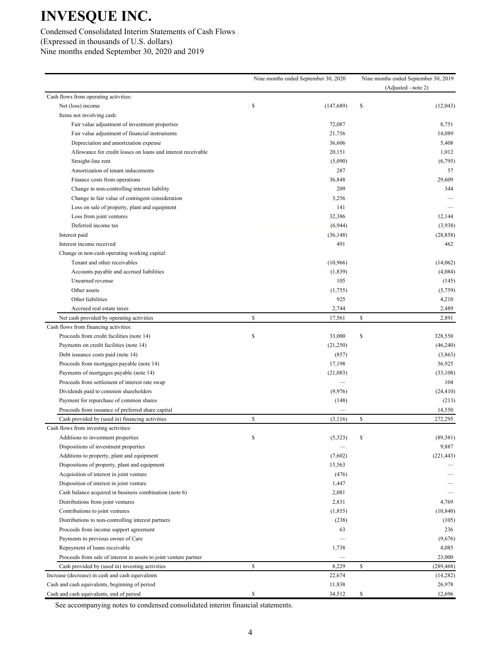Condensed Consolidated Interim Statements of Cash Flows (Expressed in thousands of U.S. dollars) Nine months ended September 30, 2020 and 2019

|                                                                   | Nine months ended September 30, 2020 | Nine months ended September 30, 2019 |                     |  |
|-------------------------------------------------------------------|--------------------------------------|--------------------------------------|---------------------|--|
|                                                                   |                                      |                                      | (Adjusted - note 2) |  |
| Cash flows from operating activities:                             |                                      |                                      |                     |  |
| Net (loss) income                                                 | \$<br>(147, 689)                     | \$                                   | (12,043)            |  |
| Items not involving cash:                                         |                                      |                                      |                     |  |
| Fair value adjustment of investment properties                    | 72,087                               |                                      | 8,751               |  |
| Fair value adjustment of financial instruments                    | 21,756                               |                                      | 14,089              |  |
| Depreciation and amortization expense                             | 36,606                               |                                      | 5,408               |  |
| Allowance for credit losses on loans and interest receivable      | 20,151                               |                                      | 1,012               |  |
| Straight-line rent                                                | (5,090)                              |                                      | (6,795)             |  |
| Amortization of tenant inducements                                | 287                                  |                                      | 57                  |  |
| Finance costs from operations                                     | 36,848                               |                                      | 29,609              |  |
| Change in non-controlling interest liability                      | 209                                  |                                      | 344                 |  |
| Change in fair value of contingent consideration                  | 3,256                                |                                      |                     |  |
| Loss on sale of property, plant and equipment                     | 141                                  |                                      |                     |  |
| Loss from joint ventures                                          | 32,386                               |                                      | 12,144              |  |
| Deferred income tax                                               | (6,944)                              |                                      | (3,938)             |  |
| Interest paid                                                     | (36, 148)                            |                                      | (28, 858)           |  |
| Interest income received                                          | 491                                  |                                      | 462                 |  |
| Change in non-cash operating working capital:                     |                                      |                                      |                     |  |
| Tenant and other receivables                                      | (10,966)                             |                                      | (14,062)            |  |
| Accounts payable and accrued liabilities                          | (1, 839)                             |                                      | (4,084)             |  |
| Unearned revenue                                                  | 105                                  |                                      | (145)               |  |
| Other assets                                                      | (1,755)                              |                                      | (5,759)             |  |
| Other liabilities                                                 | 925                                  |                                      | 4,210               |  |
| Accrued real estate taxes                                         | 2,744                                |                                      | 2,489               |  |
| Net cash provided by operating activities                         | \$<br>17,561                         | \$                                   | 2,891               |  |
| Cash flows from financing activities:                             |                                      |                                      |                     |  |
| Proceeds from credit facilities (note 14)                         | \$<br>33,000                         | \$                                   | 328,550             |  |
| Payments on credit facilities (note 14)                           | (21,250)                             |                                      | (46,240)            |  |
| Debt issuance costs paid (note 14)                                | (857)                                |                                      | (3,863)             |  |
| Proceeds from mortgages payable (note 14)                         | 17,198                               |                                      | 36,925              |  |
| Payments of mortgages payable (note 14)                           | (21,083)                             |                                      | (33, 108)           |  |
| Proceeds from settlement of interest rate swap                    |                                      |                                      | 104                 |  |
| Dividends paid to common shareholders                             | (9,976)                              |                                      | (24, 410)           |  |
| Payment for repurchase of common shares                           | (148)                                |                                      | (213)               |  |
| Proceeds from issuance of preferred share capital                 |                                      |                                      | 14,550              |  |
| Cash provided by (used in) financing activities                   | \$<br>(3, 116)                       | \$                                   | 272,295             |  |
| Cash flows from investing activities:                             |                                      |                                      |                     |  |
| Additions to investment properties                                | (5,323)                              |                                      | (89, 381)           |  |
| Dispositions of investment properties                             |                                      |                                      | 9,887               |  |
| Additions to property, plant and equipment                        | (7,602)                              |                                      | (221, 443)          |  |
| Dispositions of property, plant and equipment                     | 15,563                               |                                      |                     |  |
| Acquisition of interest in joint venture                          | (476)                                |                                      |                     |  |
| Disposition of interest in joint venture                          | 1,447                                |                                      |                     |  |
| Cash balance acquired in business combination (note 6)            | 2,081                                |                                      |                     |  |
| Distributions from joint ventures                                 | 2,831                                |                                      | 4,769               |  |
| Contributions to joint ventures                                   | (1, 855)                             |                                      | (10, 840)           |  |
| Distributions to non-controlling interest partners                | (238)                                |                                      | (105)               |  |
| Proceeds from income support agreement                            | 63                                   |                                      | 236                 |  |
| Payments to previous owner of Care                                |                                      |                                      | (9,676)             |  |
| Repayment of loans receivable                                     | 1,738                                |                                      | 4,085               |  |
| Proceeds from sale of interest in assets to joint venture partner |                                      |                                      | 23,000              |  |
| Cash provided by (used in) investing activities                   | \$<br>8,229                          | \$                                   | (289, 468)          |  |
| Increase (decrease) in cash and cash equivalents                  | 22,674                               |                                      | (14, 282)           |  |
| Cash and cash equivalents, beginning of period                    | 11,838                               |                                      | 26,978              |  |
| Cash and cash equivalents, end of period                          | \$<br>34,512                         | \$                                   | 12,696              |  |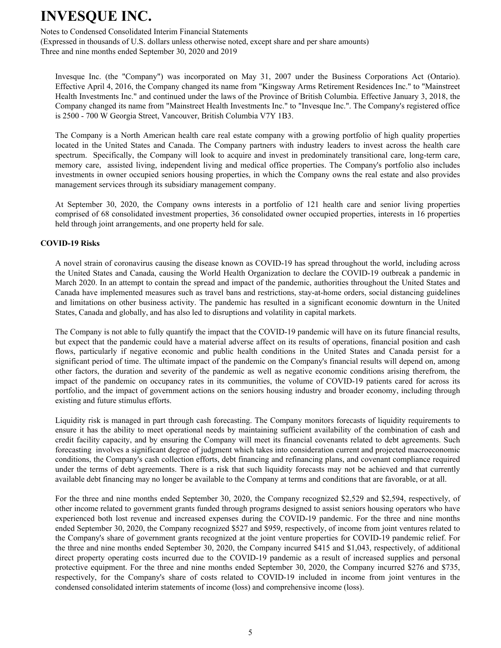Notes to Condensed Consolidated Interim Financial Statements

(Expressed in thousands of U.S. dollars unless otherwise noted, except share and per share amounts) Three and nine months ended September 30, 2020 and 2019

Invesque Inc. (the "Company") was incorporated on May 31, 2007 under the Business Corporations Act (Ontario). Effective April 4, 2016, the Company changed its name from "Kingsway Arms Retirement Residences Inc." to "Mainstreet Health Investments Inc." and continued under the laws of the Province of British Columbia. Effective January 3, 2018, the Company changed its name from "Mainstreet Health Investments Inc." to "Invesque Inc.". The Company's registered office is 2500 - 700 W Georgia Street, Vancouver, British Columbia V7Y 1B3.

The Company is a North American health care real estate company with a growing portfolio of high quality properties located in the United States and Canada. The Company partners with industry leaders to invest across the health care spectrum. Specifically, the Company will look to acquire and invest in predominately transitional care, long-term care, memory care, assisted living, independent living and medical office properties. The Company's portfolio also includes investments in owner occupied seniors housing properties, in which the Company owns the real estate and also provides management services through its subsidiary management company.

At September 30, 2020, the Company owns interests in a portfolio of 121 health care and senior living properties comprised of 68 consolidated investment properties, 36 consolidated owner occupied properties, interests in 16 properties held through joint arrangements, and one property held for sale.

### **COVID-19 Risks**

A novel strain of coronavirus causing the disease known as COVID-19 has spread throughout the world, including across the United States and Canada, causing the World Health Organization to declare the COVID-19 outbreak a pandemic in March 2020. In an attempt to contain the spread and impact of the pandemic, authorities throughout the United States and Canada have implemented measures such as travel bans and restrictions, stay-at-home orders, social distancing guidelines and limitations on other business activity. The pandemic has resulted in a significant economic downturn in the United States, Canada and globally, and has also led to disruptions and volatility in capital markets.

The Company is not able to fully quantify the impact that the COVID-19 pandemic will have on its future financial results, but expect that the pandemic could have a material adverse affect on its results of operations, financial position and cash flows, particularly if negative economic and public health conditions in the United States and Canada persist for a significant period of time. The ultimate impact of the pandemic on the Company's financial results will depend on, among other factors, the duration and severity of the pandemic as well as negative economic conditions arising therefrom, the impact of the pandemic on occupancy rates in its communities, the volume of COVID-19 patients cared for across its portfolio, and the impact of government actions on the seniors housing industry and broader economy, including through existing and future stimulus efforts.

Liquidity risk is managed in part through cash forecasting. The Company monitors forecasts of liquidity requirements to ensure it has the ability to meet operational needs by maintaining sufficient availability of the combination of cash and credit facility capacity, and by ensuring the Company will meet its financial covenants related to debt agreements. Such forecasting involves a significant degree of judgment which takes into consideration current and projected macroeconomic conditions, the Company's cash collection efforts, debt financing and refinancing plans, and covenant compliance required under the terms of debt agreements. There is a risk that such liquidity forecasts may not be achieved and that currently available debt financing may no longer be available to the Company at terms and conditions that are favorable, or at all.

For the three and nine months ended September 30, 2020, the Company recognized \$2,529 and \$2,594, respectively, of other income related to government grants funded through programs designed to assist seniors housing operators who have experienced both lost revenue and increased expenses during the COVID-19 pandemic. For the three and nine months ended September 30, 2020, the Company recognized \$527 and \$959, respectively, of income from joint ventures related to the Company's share of government grants recognized at the joint venture properties for COVID-19 pandemic relief. For the three and nine months ended September 30, 2020, the Company incurred \$415 and \$1,043, respectively, of additional direct property operating costs incurred due to the COVID-19 pandemic as a result of increased supplies and personal protective equipment. For the three and nine months ended September 30, 2020, the Company incurred \$276 and \$735, respectively, for the Company's share of costs related to COVID-19 included in income from joint ventures in the condensed consolidated interim statements of income (loss) and comprehensive income (loss).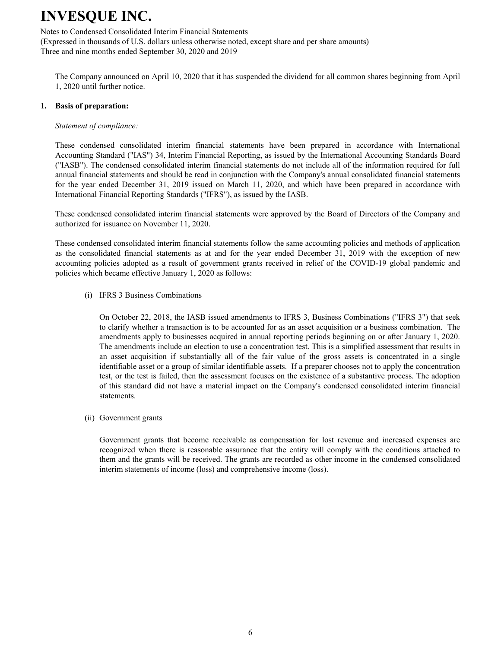Notes to Condensed Consolidated Interim Financial Statements

(Expressed in thousands of U.S. dollars unless otherwise noted, except share and per share amounts) Three and nine months ended September 30, 2020 and 2019

The Company announced on April 10, 2020 that it has suspended the dividend for all common shares beginning from April 1, 2020 until further notice.

### **1. Basis of preparation:**

#### *Statement of compliance:*

These condensed consolidated interim financial statements have been prepared in accordance with International Accounting Standard ("IAS") 34, Interim Financial Reporting, as issued by the International Accounting Standards Board ("IASB"). The condensed consolidated interim financial statements do not include all of the information required for full annual financial statements and should be read in conjunction with the Company's annual consolidated financial statements for the year ended December 31, 2019 issued on March 11, 2020, and which have been prepared in accordance with International Financial Reporting Standards ("IFRS"), as issued by the IASB.

These condensed consolidated interim financial statements were approved by the Board of Directors of the Company and authorized for issuance on November 11, 2020.

These condensed consolidated interim financial statements follow the same accounting policies and methods of application as the consolidated financial statements as at and for the year ended December 31, 2019 with the exception of new accounting policies adopted as a result of government grants received in relief of the COVID-19 global pandemic and policies which became effective January 1, 2020 as follows:

#### (i) IFRS 3 Business Combinations

On October 22, 2018, the IASB issued amendments to IFRS 3, Business Combinations ("IFRS 3") that seek to clarify whether a transaction is to be accounted for as an asset acquisition or a business combination. The amendments apply to businesses acquired in annual reporting periods beginning on or after January 1, 2020. The amendments include an election to use a concentration test. This is a simplified assessment that results in an asset acquisition if substantially all of the fair value of the gross assets is concentrated in a single identifiable asset or a group of similar identifiable assets. If a preparer chooses not to apply the concentration test, or the test is failed, then the assessment focuses on the existence of a substantive process. The adoption of this standard did not have a material impact on the Company's condensed consolidated interim financial statements.

(ii) Government grants

Government grants that become receivable as compensation for lost revenue and increased expenses are recognized when there is reasonable assurance that the entity will comply with the conditions attached to them and the grants will be received. The grants are recorded as other income in the condensed consolidated interim statements of income (loss) and comprehensive income (loss).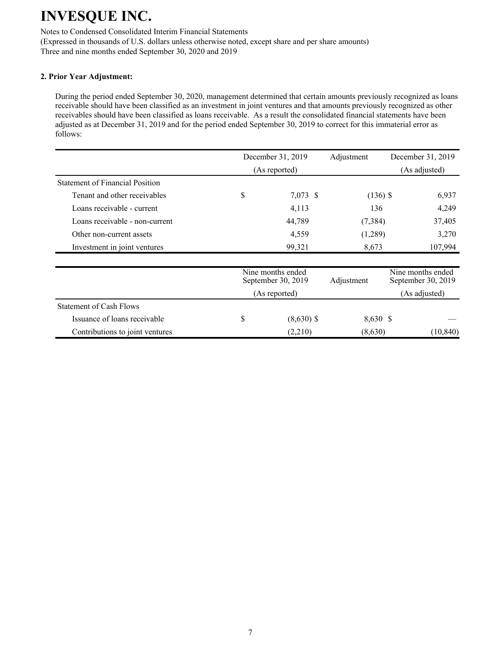Notes to Condensed Consolidated Interim Financial Statements (Expressed in thousands of U.S. dollars unless otherwise noted, except share and per share amounts) Three and nine months ended September 30, 2020 and 2019

### **2. Prior Year Adjustment:**

During the period ended September 30, 2020, management determined that certain amounts previously recognized as loans receivable should have been classified as an investment in joint ventures and that amounts previously recognized as other receivables should have been classified as loans receivable. As a result the consolidated financial statements have been adjusted as at December 31, 2019 and for the period ended September 30, 2019 to correct for this immaterial error as follows:

|                                        | December 31, 2019<br>Adjustment         |            | December 31, 2019                       |
|----------------------------------------|-----------------------------------------|------------|-----------------------------------------|
|                                        | (As reported)                           |            | (As adjusted)                           |
| <b>Statement of Financial Position</b> |                                         |            |                                         |
| Tenant and other receivables           | \$<br>7,073 \$                          | $(136)$ \$ | 6,937                                   |
| Loans receivable - current             | 4,113                                   | 136        | 4,249                                   |
| Loans receivable - non-current         | 44,789                                  |            | 37,405<br>(7,384)                       |
| Other non-current assets               | 4,559                                   |            | (1,289)<br>3,270                        |
| Investment in joint ventures           | 99,321                                  | 8,673      | 107,994                                 |
|                                        | Nine months ended<br>September 30, 2019 | Adjustment | Nine months ended<br>September 30, 2019 |
|                                        | (As reported)                           |            | (As adjusted)                           |
| <b>Statement of Cash Flows</b>         |                                         |            |                                         |
| Issuance of loans receivable           | \$<br>$(8,630)$ \$                      | 8,630 \$   |                                         |
| Contributions to joint ventures        | (2,210)                                 | (8,630)    | (10, 840)                               |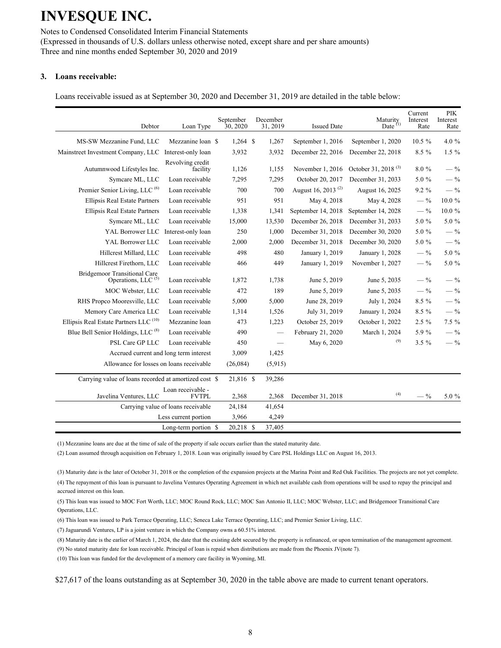Notes to Condensed Consolidated Interim Financial Statements (Expressed in thousands of U.S. dollars unless otherwise noted, except share and per share amounts) Three and nine months ended September 30, 2020 and 2019

#### **3. Loans receivable:**

Loans receivable issued as at September 30, 2020 and December 31, 2019 are detailed in the table below:

| Debtor                                                         | Loan Type                          | September<br>30, 2020 | December<br>31, 2019 | <b>Issued Date</b>             | Maturity<br>Date $(1)$          | Current<br>Interest<br>Rate | <b>PIK</b><br>Interest<br>Rate |
|----------------------------------------------------------------|------------------------------------|-----------------------|----------------------|--------------------------------|---------------------------------|-----------------------------|--------------------------------|
| MS-SW Mezzanine Fund, LLC                                      | Mezzanine loan \$                  | $1,264$ \$            | 1,267                | September 1, 2016              | September 1, 2020               | $10.5 \%$                   | 4.0 $%$                        |
| Mainstreet Investment Company, LLC                             | Interest-only loan                 | 3,932                 | 3,932                | December 22, 2016              | December 22, 2018               | $8.5\%$                     | $1.5\%$                        |
| Autumnwood Lifestyles Inc.                                     | Revolving credit<br>facility       | 1,126                 | 1,155                | November 1, 2016               | October 31, 2018 <sup>(3)</sup> | 8.0%                        | $-$ %                          |
| Symcare ML, LLC                                                | Loan receivable                    | 7,295                 | 7,295                | October 20, 2017               | December 31, 2033               | 5.0 %                       | $-$ %                          |
| Premier Senior Living, LLC <sup>(6)</sup>                      | Loan receivable                    | 700                   | 700                  | August 16, 2013 <sup>(2)</sup> | August 16, 2025                 | 9.2 %                       | $-$ %                          |
| <b>Ellipsis Real Estate Partners</b>                           | Loan receivable                    | 951                   | 951                  | May 4, 2018                    | May 4, 2028                     | $-$ %                       | $10.0 \%$                      |
| Ellipsis Real Estate Partners                                  | Loan receivable                    | 1,338                 | 1,341                | September 14, 2018             | September 14, 2028              | $-$ %                       | 10.0 %                         |
| Symcare ML, LLC                                                | Loan receivable                    | 15,000                | 13,530               | December 26, 2018              | December 31, 2033               | 5.0 %                       | 5.0 %                          |
| YAL Borrower LLC                                               | Interest-only loan                 | 250                   | 1,000                | December 31, 2018              | December 30, 2020               | 5.0 %                       | $-$ %                          |
| YAL Borrower LLC                                               | Loan receivable                    | 2,000                 | 2,000                | December 31, 2018              | December 30, 2020               | 5.0 %                       | $-$ %                          |
| Hillcrest Millard, LLC                                         | Loan receivable                    | 498                   | 480                  | January 1, 2019                | January 1, 2028                 | $-$ %                       | 5.0 %                          |
| Hillcrest Firethorn, LLC                                       | Loan receivable                    | 466                   | 449                  | January 1, 2019                | November 1, 2027                | $-$ %                       | 5.0 %                          |
| Bridgemoor Transitional Care<br>Operations, LLC <sup>(5)</sup> | Loan receivable                    | 1,872                 | 1,738                | June 5, 2019                   | June 5, 2035                    | $-$ %                       | $-$ %                          |
| MOC Webster, LLC                                               | Loan receivable                    | 472                   | 189                  | June 5, 2019                   | June 5, 2035                    | $-$ %                       | $-$ %                          |
| RHS Propco Mooresville, LLC                                    | Loan receivable                    | 5,000                 | 5,000                | June 28, 2019                  | July 1, 2024                    | 8.5 %                       | $-$ %                          |
| Memory Care America LLC                                        | Loan receivable                    | 1,314                 | 1,526                | July 31, 2019                  | January 1, 2024                 | 8.5 %                       | $-$ %                          |
| Ellipsis Real Estate Partners LLC <sup>(10)</sup>              | Mezzanine loan                     | 473                   | 1,223                | October 25, 2019               | October 1, 2022                 | $2.5 \%$                    | 7.5 %                          |
| Blue Bell Senior Holdings, LLC <sup>(8)</sup>                  | Loan receivable                    | 490                   |                      | February 21, 2020              | March 1, 2024                   | 5.9%                        | $-$ %                          |
| PSL Care GP LLC                                                | Loan receivable                    | 450                   |                      | May 6, 2020                    | (9)                             | $3.5 \%$                    | $-$ %                          |
| Accrued current and long term interest                         |                                    | 3,009                 | 1,425                |                                |                                 |                             |                                |
| Allowance for losses on loans receivable                       |                                    | (26,084)              | (5,915)              |                                |                                 |                             |                                |
| Carrying value of loans recorded at amortized cost \$          |                                    | 21,816 \$             | 39,286               |                                |                                 |                             |                                |
| Javelina Ventures, LLC                                         | Loan receivable -<br><b>FVTPL</b>  | 2,368                 | 2,368                | December 31, 2018              | (4)                             | $-$ %                       | $5.0 \%$                       |
|                                                                | Carrying value of loans receivable | 24,184                | 41,654               |                                |                                 |                             |                                |
|                                                                | Less current portion               | 3,966                 | 4,249                |                                |                                 |                             |                                |
|                                                                | Long-term portion \$               | 20,218 \$             | 37,405               |                                |                                 |                             |                                |

(1) Mezzanine loans are due at the time of sale of the property if sale occurs earlier than the stated maturity date.

(2) Loan assumed through acquisition on February 1, 2018. Loan was originally issued by Care PSL Holdings LLC on August 16, 2013.

(3) Maturity date is the later of October 31, 2018 or the completion of the expansion projects at the Marina Point and Red Oak Facilities. The projects are not yet complete.

(4) The repayment of this loan is pursuant to Javelina Ventures Operating Agreement in which net available cash from operations will be used to repay the principal and accrued interest on this loan.

(5) This loan was issued to MOC Fort Worth, LLC; MOC Round Rock, LLC; MOC San Antonio II, LLC; MOC Webster, LLC; and Bridgemoor Transitional Care Operations, LLC.

(6) This loan was issued to Park Terrace Operating, LLC; Seneca Lake Terrace Operating, LLC; and Premier Senior Living, LLC.

(7) Jaguarundi Ventures, LP is a joint venture in which the Company owns a 60.51% interest.

(8) Maturity date is the earlier of March 1, 2024, the date that the existing debt secured by the property is refinanced, or upon termination of the management agreement. (9) No stated maturity date for loan receivable. Principal of loan is repaid when distributions are made from the Phoenix JV(note 7).

(10) This loan was funded for the development of a memory care facility in Wyoming, MI.

\$27,617 of the loans outstanding as at September 30, 2020 in the table above are made to current tenant operators.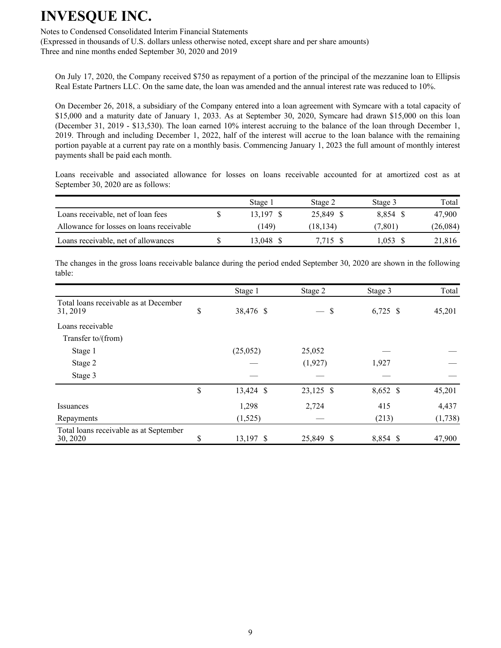Notes to Condensed Consolidated Interim Financial Statements

(Expressed in thousands of U.S. dollars unless otherwise noted, except share and per share amounts) Three and nine months ended September 30, 2020 and 2019

On July 17, 2020, the Company received \$750 as repayment of a portion of the principal of the mezzanine loan to Ellipsis Real Estate Partners LLC. On the same date, the loan was amended and the annual interest rate was reduced to 10%.

On December 26, 2018, a subsidiary of the Company entered into a loan agreement with Symcare with a total capacity of \$15,000 and a maturity date of January 1, 2033. As at September 30, 2020, Symcare had drawn \$15,000 on this loan (December 31, 2019 - \$13,530). The loan earned 10% interest accruing to the balance of the loan through December 1, 2019. Through and including December 1, 2022, half of the interest will accrue to the loan balance with the remaining portion payable at a current pay rate on a monthly basis. Commencing January 1, 2023 the full amount of monthly interest payments shall be paid each month.

Loans receivable and associated allowance for losses on loans receivable accounted for at amortized cost as at September 30, 2020 are as follows:

|                                          | Stage 1   | Stage 2   | Stage 3  | Total    |
|------------------------------------------|-----------|-----------|----------|----------|
| Loans receivable, net of loan fees       | 13.197 \$ | 25.849 \$ | 8.854 \$ | 47.900   |
| Allowance for losses on loans receivable | (149)     | (18, 134) | (7.801)  | (26,084) |
| Loans receivable, net of allowances      | 13.048    | 7.715     | .053     | 21,816   |

The changes in the gross loans receivable balance during the period ended September 30, 2020 are shown in the following table:

|                                                    | Stage 1         | Stage 2               | Stage 3    | Total   |
|----------------------------------------------------|-----------------|-----------------------|------------|---------|
| Total loans receivable as at December<br>31, 2019  | \$<br>38,476 \$ | \$<br>$\qquad \qquad$ | $6,725$ \$ | 45,201  |
| Loans receivable                                   |                 |                       |            |         |
| Transfer to/(from)                                 |                 |                       |            |         |
| Stage 1                                            | (25,052)        | 25,052                |            |         |
| Stage 2                                            |                 | (1,927)               | 1,927      |         |
| Stage 3                                            |                 |                       |            |         |
|                                                    | \$<br>13,424 \$ | 23,125 \$             | 8,652 \$   | 45,201  |
| Issuances                                          | 1,298           | 2,724                 | 415        | 4,437   |
| Repayments                                         | (1,525)         |                       | (213)      | (1,738) |
| Total loans receivable as at September<br>30, 2020 | \$<br>13,197 \$ | 25,849 \$             | 8,854 \$   | 47,900  |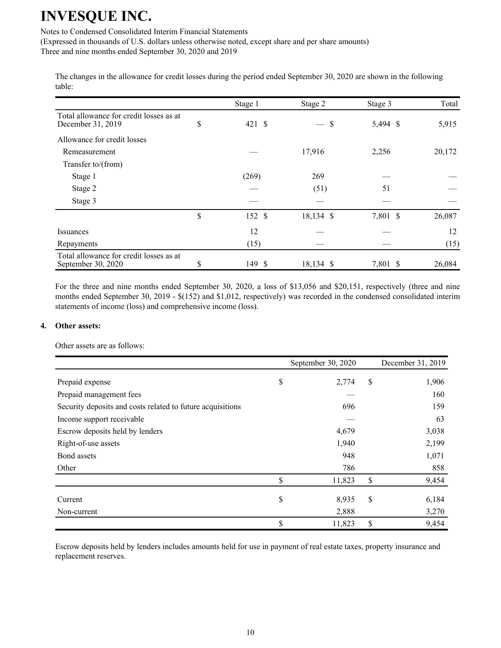Notes to Condensed Consolidated Interim Financial Statements

(Expressed in thousands of U.S. dollars unless otherwise noted, except share and per share amounts) Three and nine months ended September 30, 2020 and 2019

The changes in the allowance for credit losses during the period ended September 30, 2020 are shown in the following table:

|                                                               | Stage 1      | Stage 2                        | Stage 3  | Total  |
|---------------------------------------------------------------|--------------|--------------------------------|----------|--------|
| Total allowance for credit losses as at<br>December 31, 2019  | \$<br>421S   | \$<br>$\overline{\phantom{m}}$ | 5,494 \$ | 5,915  |
| Allowance for credit losses                                   |              |                                |          |        |
| Remeasurement                                                 |              | 17,916                         | 2,256    | 20,172 |
| Transfer to/(from)                                            |              |                                |          |        |
| Stage 1                                                       | (269)        | 269                            |          |        |
| Stage 2                                                       |              | (51)                           | 51       |        |
| Stage 3                                                       |              |                                |          |        |
|                                                               | \$<br>152 \$ | 18,134 \$                      | 7,801 \$ | 26,087 |
| Issuances                                                     | 12           |                                |          | 12     |
| Repayments                                                    | (15)         |                                |          | (15)   |
| Total allowance for credit losses as at<br>September 30, 2020 | \$<br>149 \$ | 18,134 \$                      | 7,801 \$ | 26,084 |

For the three and nine months ended September 30, 2020, a loss of \$13,056 and \$20,151, respectively (three and nine months ended September 30, 2019 - \$(152) and \$1,012, respectively) was recorded in the condensed consolidated interim statements of income (loss) and comprehensive income (loss).

#### **4. Other assets:**

Other assets are as follows:

|                                                            | September 30, 2020 | December 31, 2019 |
|------------------------------------------------------------|--------------------|-------------------|
| Prepaid expense                                            | \$<br>2,774        | \$<br>1,906       |
| Prepaid management fees                                    |                    | 160               |
| Security deposits and costs related to future acquisitions | 696                | 159               |
| Income support receivable                                  |                    | 63                |
| Escrow deposits held by lenders                            | 4,679              | 3,038             |
| Right-of-use assets                                        | 1,940              | 2,199             |
| Bond assets                                                | 948                | 1,071             |
| Other                                                      | 786                | 858               |
|                                                            | \$<br>11,823       | \$<br>9,454       |
| Current                                                    | \$<br>8,935        | \$<br>6,184       |
| Non-current                                                | 2,888              | 3,270             |
|                                                            | \$<br>11,823       | \$<br>9,454       |

Escrow deposits held by lenders includes amounts held for use in payment of real estate taxes, property insurance and replacement reserves.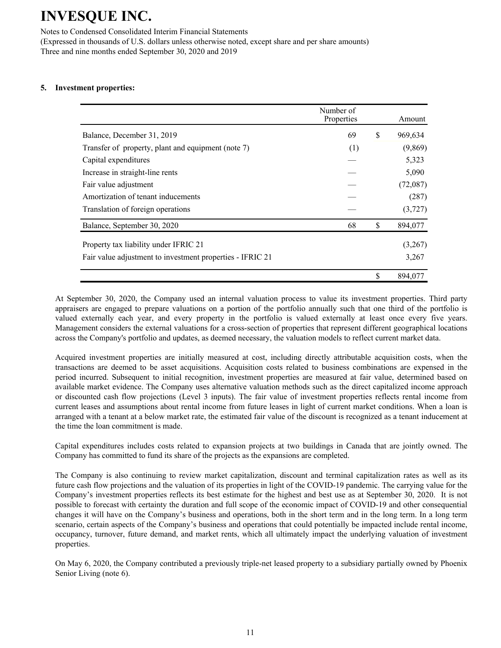Notes to Condensed Consolidated Interim Financial Statements (Expressed in thousands of U.S. dollars unless otherwise noted, except share and per share amounts)

Three and nine months ended September 30, 2020 and 2019

### **5. Investment properties:**

|                                                           | Number of<br>Properties | Amount        |
|-----------------------------------------------------------|-------------------------|---------------|
| Balance, December 31, 2019                                | 69                      | \$<br>969,634 |
| Transfer of property, plant and equipment (note 7)        | (1)                     | (9,869)       |
| Capital expenditures                                      |                         | 5,323         |
| Increase in straight-line rents                           |                         | 5,090         |
| Fair value adjustment                                     |                         | (72,087)      |
| Amortization of tenant inducements                        |                         | (287)         |
| Translation of foreign operations                         |                         | (3,727)       |
| Balance, September 30, 2020                               | 68                      | \$<br>894,077 |
| Property tax liability under IFRIC 21                     |                         | (3,267)       |
| Fair value adjustment to investment properties - IFRIC 21 |                         | 3,267         |
|                                                           |                         | \$<br>894,077 |

At September 30, 2020, the Company used an internal valuation process to value its investment properties. Third party appraisers are engaged to prepare valuations on a portion of the portfolio annually such that one third of the portfolio is valued externally each year, and every property in the portfolio is valued externally at least once every five years. Management considers the external valuations for a cross-section of properties that represent different geographical locations across the Company's portfolio and updates, as deemed necessary, the valuation models to reflect current market data.

Acquired investment properties are initially measured at cost, including directly attributable acquisition costs, when the transactions are deemed to be asset acquisitions. Acquisition costs related to business combinations are expensed in the period incurred. Subsequent to initial recognition, investment properties are measured at fair value, determined based on available market evidence. The Company uses alternative valuation methods such as the direct capitalized income approach or discounted cash flow projections (Level 3 inputs). The fair value of investment properties reflects rental income from current leases and assumptions about rental income from future leases in light of current market conditions. When a loan is arranged with a tenant at a below market rate, the estimated fair value of the discount is recognized as a tenant inducement at the time the loan commitment is made.

Capital expenditures includes costs related to expansion projects at two buildings in Canada that are jointly owned. The Company has committed to fund its share of the projects as the expansions are completed.

The Company is also continuing to review market capitalization, discount and terminal capitalization rates as well as its future cash flow projections and the valuation of its properties in light of the COVID-19 pandemic. The carrying value for the Company's investment properties reflects its best estimate for the highest and best use as at September 30, 2020. It is not possible to forecast with certainty the duration and full scope of the economic impact of COVID-19 and other consequential changes it will have on the Company's business and operations, both in the short term and in the long term. In a long term scenario, certain aspects of the Company's business and operations that could potentially be impacted include rental income, occupancy, turnover, future demand, and market rents, which all ultimately impact the underlying valuation of investment properties.

On May 6, 2020, the Company contributed a previously triple-net leased property to a subsidiary partially owned by Phoenix Senior Living (note 6).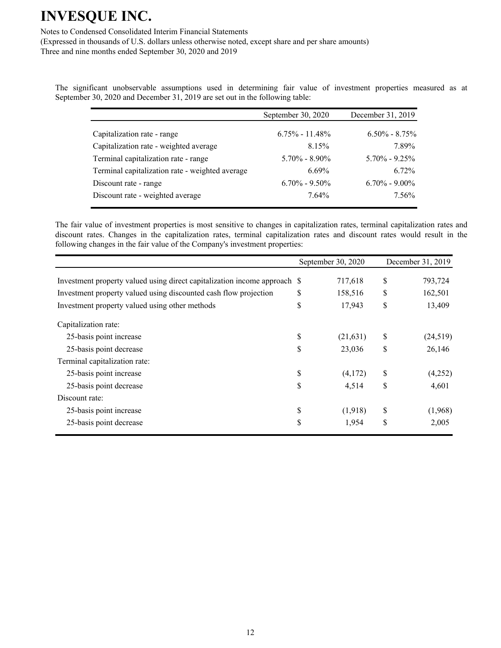Notes to Condensed Consolidated Interim Financial Statements

(Expressed in thousands of U.S. dollars unless otherwise noted, except share and per share amounts) Three and nine months ended September 30, 2020 and 2019

The significant unobservable assumptions used in determining fair value of investment properties measured as at September 30, 2020 and December 31, 2019 are set out in the following table:

|                                                 | September 30, 2020 | December 31, 2019 |
|-------------------------------------------------|--------------------|-------------------|
|                                                 |                    |                   |
| Capitalization rate - range                     | $6.75\% - 11.48\%$ | $6.50\% - 8.75\%$ |
| Capitalization rate - weighted average          | 8.15%              | 7.89%             |
| Terminal capitalization rate - range            | $5.70\% - 8.90\%$  | $5.70\% - 9.25\%$ |
| Terminal capitalization rate - weighted average | $6.69\%$           | $6.72\%$          |
| Discount rate - range                           | $6.70\% - 9.50\%$  | $6.70\% - 9.00\%$ |
| Discount rate - weighted average                | $7.64\%$           | 7.56%             |

The fair value of investment properties is most sensitive to changes in capitalization rates, terminal capitalization rates and discount rates. Changes in the capitalization rates, terminal capitalization rates and discount rates would result in the following changes in the fair value of the Company's investment properties:

|                                                                           | September 30, 2020 | December 31, 2019 |
|---------------------------------------------------------------------------|--------------------|-------------------|
| Investment property valued using direct capitalization income approach \$ | 717,618            | \$<br>793,724     |
| Investment property valued using discounted cash flow projection          | \$<br>158,516      | \$<br>162,501     |
| Investment property valued using other methods                            | \$<br>17,943       | \$<br>13,409      |
| Capitalization rate:                                                      |                    |                   |
| 25-basis point increase                                                   | \$<br>(21, 631)    | \$<br>(24,519)    |
| 25-basis point decrease                                                   | \$<br>23,036       | \$<br>26,146      |
| Terminal capitalization rate:                                             |                    |                   |
| 25-basis point increase                                                   | \$<br>(4,172)      | \$<br>(4,252)     |
| 25-basis point decrease                                                   | \$<br>4,514        | \$<br>4,601       |
| Discount rate:                                                            |                    |                   |
| 25-basis point increase                                                   | \$<br>(1,918)      | \$<br>(1,968)     |
| 25-basis point decrease                                                   | \$<br>1,954        | \$<br>2,005       |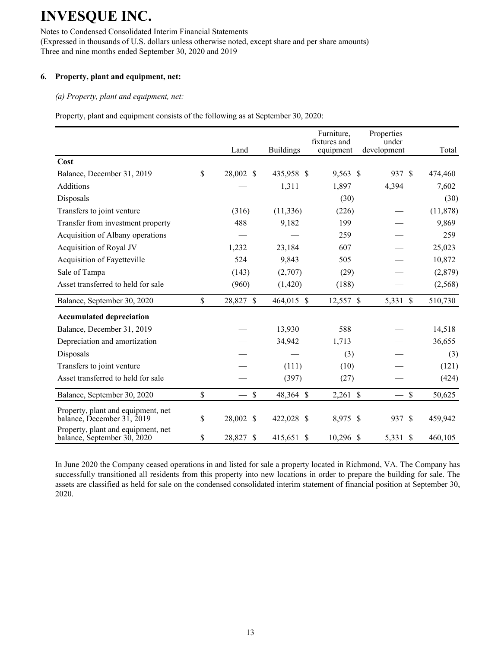Notes to Condensed Consolidated Interim Financial Statements (Expressed in thousands of U.S. dollars unless otherwise noted, except share and per share amounts) Three and nine months ended September 30, 2020 and 2019

### **6. Property, plant and equipment, net:**

*(a) Property, plant and equipment, net:*

Property, plant and equipment consists of the following as at September 30, 2020:

|                                                                   | Land                | <b>Buildings</b> | Furniture,<br>fixtures and<br>equipment | Properties<br>under<br>development | Total                   |
|-------------------------------------------------------------------|---------------------|------------------|-----------------------------------------|------------------------------------|-------------------------|
| Cost                                                              |                     |                  |                                         |                                    |                         |
| Balance, December 31, 2019                                        | \$<br>28,002 \$     | 435,958 \$       | 9,563 \$                                | 937 \$                             | 474,460                 |
| <b>Additions</b>                                                  |                     | 1,311            | 1,897                                   | 4,394                              | 7,602                   |
| Disposals                                                         |                     |                  | (30)                                    |                                    | (30)                    |
| Transfers to joint venture                                        | (316)               | (11, 336)        | (226)                                   |                                    | (11, 878)               |
| Transfer from investment property                                 | 488                 | 9,182            | 199                                     |                                    | 9,869                   |
| Acquisition of Albany operations                                  |                     |                  | 259                                     |                                    | 259                     |
| Acquisition of Royal JV                                           | 1,232               | 23,184           | 607                                     |                                    | 25,023                  |
| Acquisition of Fayetteville                                       | 524                 | 9,843            | 505                                     |                                    | 10,872                  |
| Sale of Tampa                                                     | (143)               | (2,707)          | (29)                                    |                                    | (2,879)                 |
| Asset transferred to held for sale                                | (960)               | (1,420)          | (188)                                   |                                    | (2, 568)                |
| Balance, September 30, 2020                                       | \$<br>28,827 \$     | 464,015 \$       | 12,557 \$                               | 5,331 \$                           | 510,730                 |
| <b>Accumulated depreciation</b>                                   |                     |                  |                                         |                                    |                         |
| Balance, December 31, 2019                                        |                     | 13,930           | 588                                     |                                    | 14,518                  |
| Depreciation and amortization                                     |                     | 34,942           | 1,713                                   |                                    | 36,655                  |
| Disposals                                                         |                     |                  | (3)                                     |                                    | (3)                     |
| Transfers to joint venture                                        |                     | (111)            | (10)                                    |                                    | (121)                   |
| Asset transferred to held for sale                                |                     | (397)            | (27)                                    |                                    | (424)                   |
| Balance, September 30, 2020                                       | \$<br>$\mathsf{\$}$ | 48,364 \$        | $2,261$ \$                              |                                    | $\mathcal{S}$<br>50,625 |
| Property, plant and equipment, net<br>balance, December 31, 2019  | \$<br>28,002 \$     | 422,028 \$       | 8,975 \$                                | 937 \$                             | 459,942                 |
| Property, plant and equipment, net<br>balance, September 30, 2020 | \$<br>28,827 \$     | 415,651 \$       | $10,296$ \$                             | 5,331 \$                           | 460,105                 |

In June 2020 the Company ceased operations in and listed for sale a property located in Richmond, VA. The Company has successfully transitioned all residents from this property into new locations in order to prepare the building for sale. The assets are classified as held for sale on the condensed consolidated interim statement of financial position at September 30, 2020.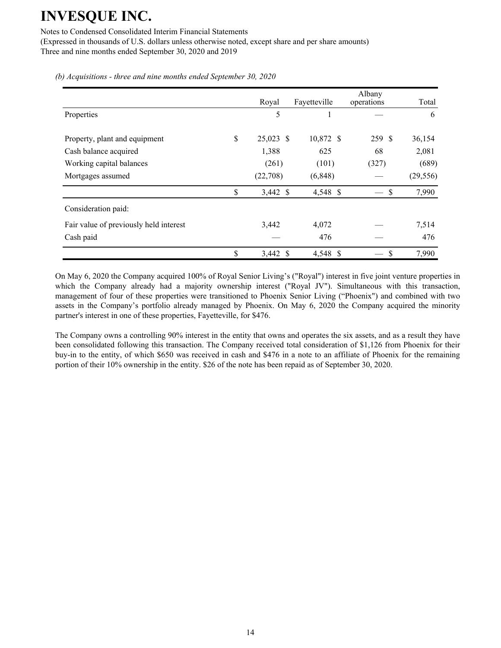Notes to Condensed Consolidated Interim Financial Statements

(Expressed in thousands of U.S. dollars unless otherwise noted, except share and per share amounts) Three and nine months ended September 30, 2020 and 2019

|                                        | Royal           | Fayetteville | Albany<br>operations | Total     |
|----------------------------------------|-----------------|--------------|----------------------|-----------|
| Properties                             | 5               |              |                      | 6         |
| Property, plant and equipment          | \$<br>25,023 \$ | 10,872 \$    | 259 \$               | 36,154    |
| Cash balance acquired                  | 1,388           | 625          | 68                   | 2,081     |
| Working capital balances               | (261)           | (101)        | (327)                | (689)     |
| Mortgages assumed                      | (22,708)        | (6, 848)     |                      | (29, 556) |
|                                        | \$<br>3,442 \$  | 4,548 \$     | \$                   | 7,990     |
| Consideration paid:                    |                 |              |                      |           |
| Fair value of previously held interest | 3,442           | 4,072        |                      | 7,514     |
| Cash paid                              |                 | 476          |                      | 476       |
|                                        | \$<br>3,442 \$  | 4,548 \$     | S                    | 7,990     |

*(b) Acquisitions - three and nine months ended September 30, 2020*

On May 6, 2020 the Company acquired 100% of Royal Senior Living's ("Royal") interest in five joint venture properties in which the Company already had a majority ownership interest ("Royal JV"). Simultaneous with this transaction, management of four of these properties were transitioned to Phoenix Senior Living ("Phoenix") and combined with two assets in the Company's portfolio already managed by Phoenix. On May 6, 2020 the Company acquired the minority partner's interest in one of these properties, Fayetteville, for \$476.

The Company owns a controlling 90% interest in the entity that owns and operates the six assets, and as a result they have been consolidated following this transaction. The Company received total consideration of \$1,126 from Phoenix for their buy-in to the entity, of which \$650 was received in cash and \$476 in a note to an affiliate of Phoenix for the remaining portion of their 10% ownership in the entity. \$26 of the note has been repaid as of September 30, 2020.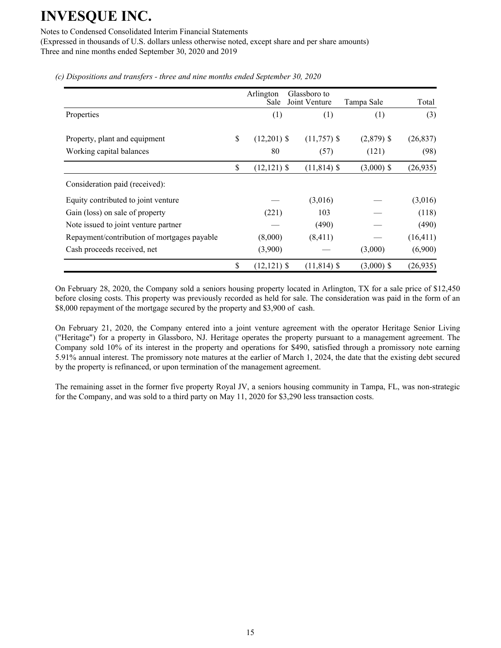Notes to Condensed Consolidated Interim Financial Statements

(Expressed in thousands of U.S. dollars unless otherwise noted, except share and per share amounts) Three and nine months ended September 30, 2020 and 2019

|                                             | Arlington<br>Sale    | Glassboro to<br>Joint Venture | Tampa Sale   | Total     |
|---------------------------------------------|----------------------|-------------------------------|--------------|-----------|
| Properties                                  | (1)                  | (1)                           | (1)          | (3)       |
| Property, plant and equipment               | \$<br>$(12,201)$ \$  | $(11,757)$ \$                 | $(2,879)$ \$ | (26, 837) |
| Working capital balances                    | 80                   | (57)                          | (121)        | (98)      |
|                                             | \$<br>$(12, 121)$ \$ | $(11, 814)$ \$                | $(3,000)$ \$ | (26, 935) |
| Consideration paid (received):              |                      |                               |              |           |
| Equity contributed to joint venture         |                      | (3,016)                       |              | (3,016)   |
| Gain (loss) on sale of property             | (221)                | 103                           |              | (118)     |
| Note issued to joint venture partner        |                      | (490)                         |              | (490)     |
| Repayment/contribution of mortgages payable | (8,000)              | (8, 411)                      |              | (16, 411) |
| Cash proceeds received, net                 | (3,900)              |                               | (3,000)      | (6,900)   |
|                                             | \$<br>$(12, 121)$ \$ | $(11, 814)$ \$                | $(3,000)$ \$ | (26,935)  |

*(c) Dispositions and transfers - three and nine months ended September 30, 2020*

On February 28, 2020, the Company sold a seniors housing property located in Arlington, TX for a sale price of \$12,450 before closing costs. This property was previously recorded as held for sale. The consideration was paid in the form of an \$8,000 repayment of the mortgage secured by the property and \$3,900 of cash.

On February 21, 2020, the Company entered into a joint venture agreement with the operator Heritage Senior Living ("Heritage") for a property in Glassboro, NJ. Heritage operates the property pursuant to a management agreement. The Company sold 10% of its interest in the property and operations for \$490, satisfied through a promissory note earning 5.91% annual interest. The promissory note matures at the earlier of March 1, 2024, the date that the existing debt secured by the property is refinanced, or upon termination of the management agreement.

The remaining asset in the former five property Royal JV, a seniors housing community in Tampa, FL, was non-strategic for the Company, and was sold to a third party on May 11, 2020 for \$3,290 less transaction costs.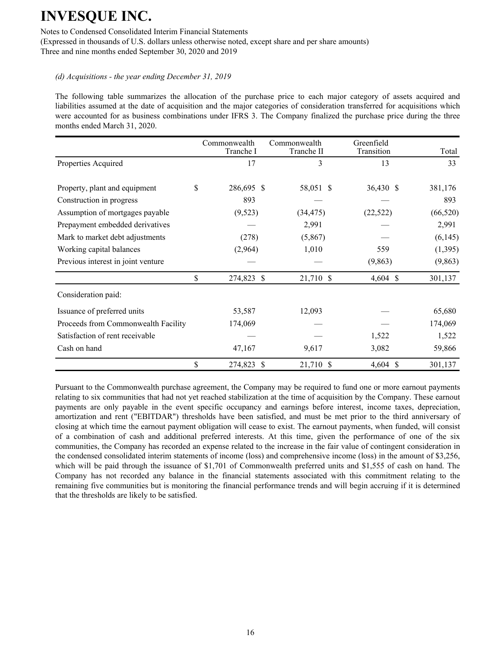Notes to Condensed Consolidated Interim Financial Statements

(Expressed in thousands of U.S. dollars unless otherwise noted, except share and per share amounts) Three and nine months ended September 30, 2020 and 2019

#### *(d) Acquisitions - the year ending December 31, 2019*

The following table summarizes the allocation of the purchase price to each major category of assets acquired and liabilities assumed at the date of acquisition and the major categories of consideration transferred for acquisitions which were accounted for as business combinations under IFRS 3. The Company finalized the purchase price during the three months ended March 31, 2020.

|                                     | Commonwealth<br>Tranche I | Commonwealth<br>Tranche II | Greenfield<br>Transition | Total     |
|-------------------------------------|---------------------------|----------------------------|--------------------------|-----------|
| Properties Acquired                 | 17                        | 3                          | 13                       | 33        |
| Property, plant and equipment       | \$<br>286,695 \$          | 58,051 \$                  | 36,430 \$                | 381,176   |
| Construction in progress            | 893                       |                            |                          | 893       |
| Assumption of mortgages payable     | (9,523)                   | (34, 475)                  | (22, 522)                | (66, 520) |
| Prepayment embedded derivatives     |                           | 2,991                      |                          | 2,991     |
| Mark to market debt adjustments     | (278)                     | (5,867)                    |                          | (6,145)   |
| Working capital balances            | (2,964)                   | 1,010                      | 559                      | (1,395)   |
| Previous interest in joint venture  |                           |                            | (9,863)                  | (9, 863)  |
|                                     | \$<br>274,823 \$          | 21,710 \$                  | 4,604 \$                 | 301,137   |
| Consideration paid:                 |                           |                            |                          |           |
| Issuance of preferred units         | 53,587                    | 12,093                     |                          | 65,680    |
| Proceeds from Commonwealth Facility | 174,069                   |                            |                          | 174,069   |
| Satisfaction of rent receivable     |                           |                            | 1,522                    | 1,522     |
| Cash on hand                        | 47,167                    | 9,617                      | 3,082                    | 59,866    |
|                                     | \$<br>274,823 \$          | 21,710 \$                  | $4,604$ \$               | 301,137   |

Pursuant to the Commonwealth purchase agreement, the Company may be required to fund one or more earnout payments relating to six communities that had not yet reached stabilization at the time of acquisition by the Company. These earnout payments are only payable in the event specific occupancy and earnings before interest, income taxes, depreciation, amortization and rent ("EBITDAR") thresholds have been satisfied, and must be met prior to the third anniversary of closing at which time the earnout payment obligation will cease to exist. The earnout payments, when funded, will consist of a combination of cash and additional preferred interests. At this time, given the performance of one of the six communities, the Company has recorded an expense related to the increase in the fair value of contingent consideration in the condensed consolidated interim statements of income (loss) and comprehensive income (loss) in the amount of \$3,256, which will be paid through the issuance of \$1,701 of Commonwealth preferred units and \$1,555 of cash on hand. The Company has not recorded any balance in the financial statements associated with this commitment relating to the remaining five communities but is monitoring the financial performance trends and will begin accruing if it is determined that the thresholds are likely to be satisfied.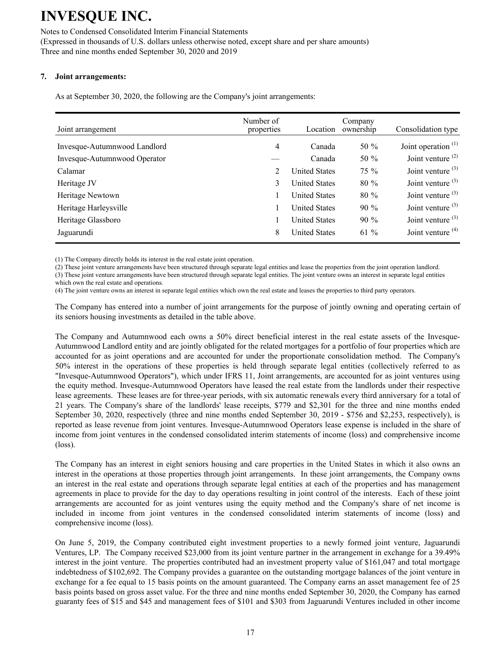Notes to Condensed Consolidated Interim Financial Statements (Expressed in thousands of U.S. dollars unless otherwise noted, except share and per share amounts) Three and nine months ended September 30, 2020 and 2019

### **7. Joint arrangements:**

As at September 30, 2020, the following are the Company's joint arrangements:

| Joint arrangement            | Number of<br>properties | Location             | Company<br>ownership | Consolidation type    |
|------------------------------|-------------------------|----------------------|----------------------|-----------------------|
| Invesque-Autumnwood Landlord | 4                       | Canada               | 50 $%$               | Joint operation $(1)$ |
| Invesque-Autumnwood Operator |                         | Canada               | 50 $%$               | Joint venture $(2)$   |
| Calamar                      | 2                       | <b>United States</b> | $75\%$               | Joint venture $(3)$   |
| Heritage JV                  | 3                       | <b>United States</b> | $80\%$               | Joint venture $(3)$   |
| Heritage Newtown             |                         | <b>United States</b> | $80\%$               | Joint venture $(3)$   |
| Heritage Harleysville        |                         | <b>United States</b> | $90\%$               | Joint venture $(3)$   |
| Heritage Glassboro           |                         | <b>United States</b> | $90\%$               | Joint venture $(3)$   |
| Jaguarundi                   | 8                       | <b>United States</b> | $61\%$               | Joint venture $(4)$   |

(1) The Company directly holds its interest in the real estate joint operation.

(2) These joint venture arrangements have been structured through separate legal entities and lease the properties from the joint operation landlord.

(3) These joint venture arrangements have been structured through separate legal entities. The joint venture owns an interest in separate legal entities which own the real estate and operations.

(4) The joint venture owns an interest in separate legal entities which own the real estate and leases the properties to third party operators.

The Company has entered into a number of joint arrangements for the purpose of jointly owning and operating certain of its seniors housing investments as detailed in the table above.

The Company and Autumnwood each owns a 50% direct beneficial interest in the real estate assets of the Invesque-Autumnwood Landlord entity and are jointly obligated for the related mortgages for a portfolio of four properties which are accounted for as joint operations and are accounted for under the proportionate consolidation method. The Company's 50% interest in the operations of these properties is held through separate legal entities (collectively referred to as "Invesque-Autumnwood Operators"), which under IFRS 11, Joint arrangements, are accounted for as joint ventures using the equity method. Invesque-Autumnwood Operators have leased the real estate from the landlords under their respective lease agreements. These leases are for three-year periods, with six automatic renewals every third anniversary for a total of 21 years. The Company's share of the landlords' lease receipts, \$779 and \$2,301 for the three and nine months ended September 30, 2020, respectively (three and nine months ended September 30, 2019 - \$756 and \$2,253, respectively), is reported as lease revenue from joint ventures. Invesque-Autumnwood Operators lease expense is included in the share of income from joint ventures in the condensed consolidated interim statements of income (loss) and comprehensive income (loss).

The Company has an interest in eight seniors housing and care properties in the United States in which it also owns an interest in the operations at those properties through joint arrangements. In these joint arrangements, the Company owns an interest in the real estate and operations through separate legal entities at each of the properties and has management agreements in place to provide for the day to day operations resulting in joint control of the interests. Each of these joint arrangements are accounted for as joint ventures using the equity method and the Company's share of net income is included in income from joint ventures in the condensed consolidated interim statements of income (loss) and comprehensive income (loss).

On June 5, 2019, the Company contributed eight investment properties to a newly formed joint venture, Jaguarundi Ventures, LP. The Company received \$23,000 from its joint venture partner in the arrangement in exchange for a 39.49% interest in the joint venture. The properties contributed had an investment property value of \$161,047 and total mortgage indebtedness of \$102,692. The Company provides a guarantee on the outstanding mortgage balances of the joint venture in exchange for a fee equal to 15 basis points on the amount guaranteed. The Company earns an asset management fee of 25 basis points based on gross asset value. For the three and nine months ended September 30, 2020, the Company has earned guaranty fees of \$15 and \$45 and management fees of \$101 and \$303 from Jaguarundi Ventures included in other income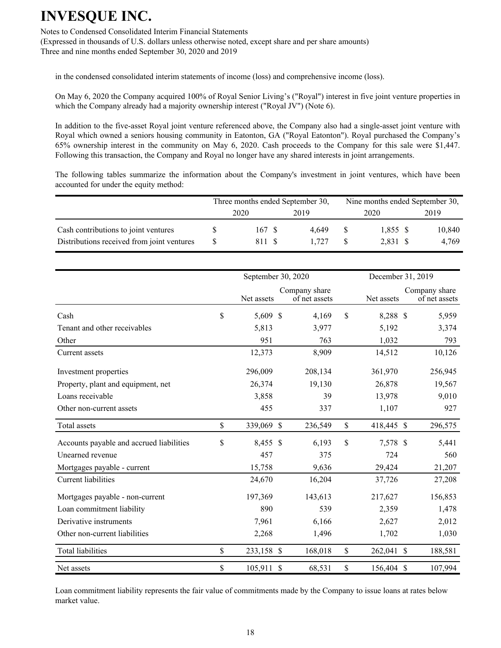Notes to Condensed Consolidated Interim Financial Statements (Expressed in thousands of U.S. dollars unless otherwise noted, except share and per share amounts) Three and nine months ended September 30, 2020 and 2019

in the condensed consolidated interim statements of income (loss) and comprehensive income (loss).

On May 6, 2020 the Company acquired 100% of Royal Senior Living's ("Royal") interest in five joint venture properties in which the Company already had a majority ownership interest ("Royal JV") (Note 6).

In addition to the five-asset Royal joint venture referenced above, the Company also had a single-asset joint venture with Royal which owned a seniors housing community in Eatonton, GA ("Royal Eatonton"). Royal purchased the Company's 65% ownership interest in the community on May 6, 2020. Cash proceeds to the Company for this sale were \$1,447. Following this transaction, the Company and Royal no longer have any shared interests in joint arrangements.

The following tables summarize the information about the Company's investment in joint ventures, which have been accounted for under the equity method:

|                                                                                    | Three months ended September 30, |                 |  |                |  | Nine months ended September 30, |  |                 |  |
|------------------------------------------------------------------------------------|----------------------------------|-----------------|--|----------------|--|---------------------------------|--|-----------------|--|
|                                                                                    |                                  | 2020            |  | 2019           |  | 2020                            |  | 2019            |  |
| Cash contributions to joint ventures<br>Distributions received from joint ventures | <sup>S</sup>                     | 167 \$<br>811 S |  | 4 649<br>1 727 |  | 1,855 \$<br>2,831 \$            |  | 10,840<br>4,769 |  |

|                                          |               | September 30, 2020 | December 31, 2019 |                                |               |            |  |                                |
|------------------------------------------|---------------|--------------------|-------------------|--------------------------------|---------------|------------|--|--------------------------------|
|                                          |               | Net assets         |                   | Company share<br>of net assets |               | Net assets |  | Company share<br>of net assets |
| Cash                                     | \$            | 5,609 \$           |                   | 4,169                          | \$            | 8,288 \$   |  | 5,959                          |
| Tenant and other receivables             |               | 5,813              |                   | 3,977                          |               | 5,192      |  | 3,374                          |
| Other                                    |               | 951                |                   | 763                            |               | 1,032      |  | 793                            |
| Current assets                           |               | 12,373             |                   | 8,909                          |               | 14,512     |  | 10,126                         |
| Investment properties                    |               | 296,009            |                   | 208,134                        |               | 361,970    |  | 256,945                        |
| Property, plant and equipment, net       |               | 26,374             |                   | 19,130                         |               | 26,878     |  | 19,567                         |
| Loans receivable                         |               | 3,858              |                   | 39                             |               | 13,978     |  | 9,010                          |
| Other non-current assets                 |               | 455                |                   | 337                            |               | 1,107      |  | 927                            |
| Total assets                             | $\mathsf{\$}$ | 339,069 \$         |                   | 236,549                        | \$            | 418,445 \$ |  | 296,575                        |
| Accounts payable and accrued liabilities | \$            | 8,455 \$           |                   | 6,193                          | $\mathsf{\$}$ | 7,578 \$   |  | 5,441                          |
| Unearned revenue                         |               | 457                |                   | 375                            |               | 724        |  | 560                            |
| Mortgages payable - current              |               | 15,758             |                   | 9,636                          |               | 29,424     |  | 21,207                         |
| Current liabilities                      |               | 24,670             |                   | 16,204                         |               | 37,726     |  | 27,208                         |
| Mortgages payable - non-current          |               | 197,369            |                   | 143,613                        |               | 217,627    |  | 156,853                        |
| Loan commitment liability                |               | 890                |                   | 539                            |               | 2,359      |  | 1,478                          |
| Derivative instruments                   |               | 7,961              |                   | 6,166                          |               | 2,627      |  | 2,012                          |
| Other non-current liabilities            |               | 2,268              |                   | 1,496                          |               | 1,702      |  | 1,030                          |
| <b>Total liabilities</b>                 | \$            | 233,158 \$         |                   | 168,018                        | \$            | 262,041 \$ |  | 188,581                        |
| Net assets                               | \$            | 105,911            | $\mathcal{S}$     | 68,531                         | \$            | 156,404 \$ |  | 107,994                        |

Loan commitment liability represents the fair value of commitments made by the Company to issue loans at rates below market value.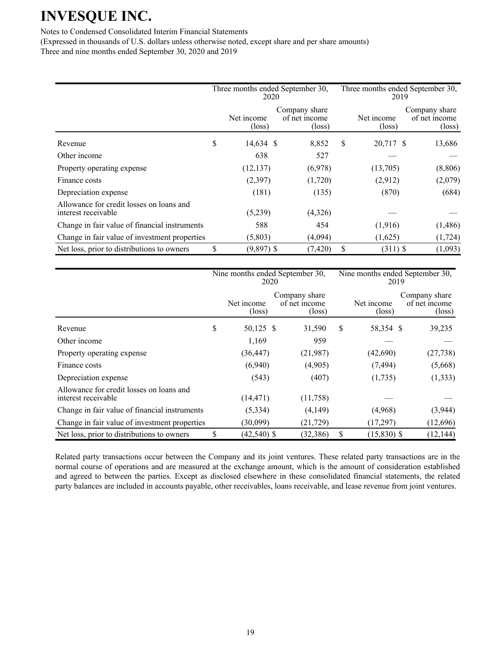Notes to Condensed Consolidated Interim Financial Statements

(Expressed in thousands of U.S. dollars unless otherwise noted, except share and per share amounts) Three and nine months ended September 30, 2020 and 2019

|                                                                 | Three months ended September 30,<br>2020 |                               |  |                                                   |    | Three months ended September 30,<br>2019 |                                                   |  |  |
|-----------------------------------------------------------------|------------------------------------------|-------------------------------|--|---------------------------------------------------|----|------------------------------------------|---------------------------------------------------|--|--|
|                                                                 |                                          | Net income<br>$(\text{loss})$ |  | Company share<br>of net income<br>$(\text{loss})$ |    | Net income<br>$(\text{loss})$            | Company share<br>of net income<br>$(\text{loss})$ |  |  |
| Revenue                                                         | \$                                       | 14,634 \$                     |  | 8,852                                             | S  | 20,717 \$                                | 13,686                                            |  |  |
| Other income                                                    |                                          | 638                           |  | 527                                               |    |                                          |                                                   |  |  |
| Property operating expense                                      |                                          | (12, 137)                     |  | (6,978)                                           |    | (13,705)                                 | (8, 806)                                          |  |  |
| Finance costs                                                   |                                          | (2,397)                       |  | (1,720)                                           |    | (2,912)                                  | (2,079)                                           |  |  |
| Depreciation expense                                            |                                          | (181)                         |  | (135)                                             |    | (870)                                    | (684)                                             |  |  |
| Allowance for credit losses on loans and<br>interest receivable |                                          | (5,239)                       |  | (4,326)                                           |    |                                          |                                                   |  |  |
| Change in fair value of financial instruments                   |                                          | 588                           |  | 454                                               |    | (1,916)                                  | (1,486)                                           |  |  |
| Change in fair value of investment properties                   |                                          | (5,803)                       |  | (4,094)                                           |    | (1,625)                                  | (1, 724)                                          |  |  |
| Net loss, prior to distributions to owners                      | \$                                       | $(9,897)$ \$                  |  | (7, 420)                                          | \$ | $(311)$ \$                               | (1,093)                                           |  |  |

|                                                                 | Nine months ended September 30,<br>2020 |                               |  |                                                   |    | Nine months ended September 30,<br>2019 |                                                   |  |  |
|-----------------------------------------------------------------|-----------------------------------------|-------------------------------|--|---------------------------------------------------|----|-----------------------------------------|---------------------------------------------------|--|--|
|                                                                 |                                         | Net income<br>$(\text{loss})$ |  | Company share<br>of net income<br>$(\text{loss})$ |    | Net income<br>$(\text{loss})$           | Company share<br>of net income<br>$(\text{loss})$ |  |  |
| Revenue                                                         | S                                       | 50,125 \$                     |  | 31,590                                            | S  | 58,354 \$                               | 39,235                                            |  |  |
| Other income                                                    |                                         | 1,169                         |  | 959                                               |    |                                         |                                                   |  |  |
| Property operating expense                                      |                                         | (36, 447)                     |  | (21,987)                                          |    | (42,690)                                | (27, 738)                                         |  |  |
| Finance costs                                                   |                                         | (6,940)                       |  | (4,905)                                           |    | (7, 494)                                | (5,668)                                           |  |  |
| Depreciation expense                                            |                                         | (543)                         |  | (407)                                             |    | (1,735)                                 | (1, 333)                                          |  |  |
| Allowance for credit losses on loans and<br>interest receivable |                                         | (14, 471)                     |  | (11,758)                                          |    |                                         |                                                   |  |  |
| Change in fair value of financial instruments                   |                                         | (5,334)                       |  | (4,149)                                           |    | (4,968)                                 | (3,944)                                           |  |  |
| Change in fair value of investment properties                   |                                         | (30,099)                      |  | (21, 729)                                         |    | (17,297)                                | (12,696)                                          |  |  |
| Net loss, prior to distributions to owners                      |                                         | $(42,540)$ \$                 |  | (32, 386)                                         | \$ | $(15,830)$ \$                           | (12, 144)                                         |  |  |

Related party transactions occur between the Company and its joint ventures. These related party transactions are in the normal course of operations and are measured at the exchange amount, which is the amount of consideration established and agreed to between the parties. Except as disclosed elsewhere in these consolidated financial statements, the related party balances are included in accounts payable, other receivables, loans receivable, and lease revenue from joint ventures.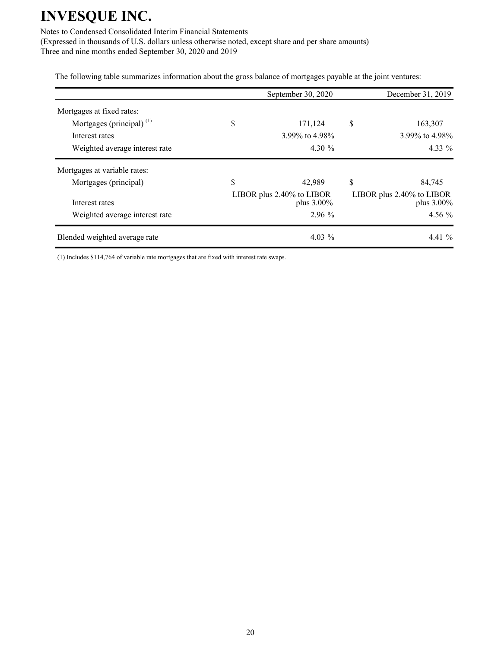Notes to Condensed Consolidated Interim Financial Statements

(Expressed in thousands of U.S. dollars unless otherwise noted, except share and per share amounts) Three and nine months ended September 30, 2020 and 2019

The following table summarizes information about the gross balance of mortgages payable at the joint ventures:

|                                | September 30, 2020                      | December 31, 2019                       |
|--------------------------------|-----------------------------------------|-----------------------------------------|
| Mortgages at fixed rates:      |                                         |                                         |
| Mortgages (principal) $(1)$    | \$<br>171,124                           | \$<br>163,307                           |
| Interest rates                 | 3.99% to 4.98%                          | 3.99% to 4.98%                          |
| Weighted average interest rate | 4.30 $\%$                               | $4.33\%$                                |
| Mortgages at variable rates:   |                                         |                                         |
| Mortgages (principal)          | \$<br>42,989                            | \$<br>84,745                            |
| Interest rates                 | LIBOR plus 2.40% to LIBOR<br>plus 3.00% | LIBOR plus 2.40% to LIBOR<br>plus 3.00% |
| Weighted average interest rate | $2.96\%$                                | $4.56\%$                                |
| Blended weighted average rate  | $4.03\%$                                | $4.41\%$                                |

(1) Includes \$114,764 of variable rate mortgages that are fixed with interest rate swaps.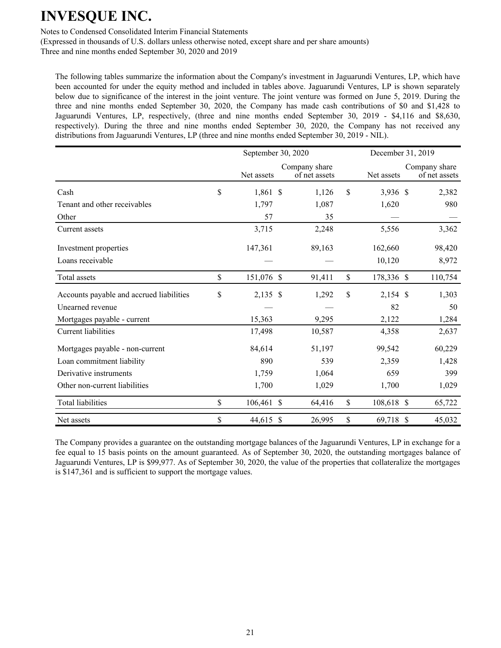Notes to Condensed Consolidated Interim Financial Statements

(Expressed in thousands of U.S. dollars unless otherwise noted, except share and per share amounts) Three and nine months ended September 30, 2020 and 2019

The following tables summarize the information about the Company's investment in Jaguarundi Ventures, LP, which have been accounted for under the equity method and included in tables above. Jaguarundi Ventures, LP is shown separately below due to significance of the interest in the joint venture. The joint venture was formed on June 5, 2019. During the three and nine months ended September 30, 2020, the Company has made cash contributions of \$0 and \$1,428 to Jaguarundi Ventures, LP, respectively, (three and nine months ended September 30, 2019 - \$4,116 and \$8,630, respectively). During the three and nine months ended September 30, 2020, the Company has not received any distributions from Jaguarundi Ventures, LP (three and nine months ended September 30, 2019 - NIL).

|                                          | September 30, 2020 |            |  |                                |               | December 31, 2019 |  |                                |  |
|------------------------------------------|--------------------|------------|--|--------------------------------|---------------|-------------------|--|--------------------------------|--|
|                                          |                    | Net assets |  | Company share<br>of net assets |               | Net assets        |  | Company share<br>of net assets |  |
| Cash                                     | \$                 | 1,861 \$   |  | 1,126                          | $\mathsf{\$}$ | 3,936 \$          |  | 2,382                          |  |
| Tenant and other receivables             |                    | 1,797      |  | 1,087                          |               | 1,620             |  | 980                            |  |
| Other                                    |                    | 57         |  | 35                             |               |                   |  |                                |  |
| Current assets                           |                    | 3,715      |  | 2,248                          |               | 5,556             |  | 3,362                          |  |
| Investment properties                    |                    | 147,361    |  | 89,163                         |               | 162,660           |  | 98,420                         |  |
| Loans receivable                         |                    |            |  |                                |               | 10,120            |  | 8,972                          |  |
| Total assets                             | \$                 | 151,076 \$ |  | 91,411                         | \$            | 178,336 \$        |  | 110,754                        |  |
| Accounts payable and accrued liabilities | \$                 | 2,135 \$   |  | 1,292                          | \$            | $2,154$ \$        |  | 1,303                          |  |
| Unearned revenue                         |                    |            |  |                                |               | 82                |  | 50                             |  |
| Mortgages payable - current              |                    | 15,363     |  | 9,295                          |               | 2,122             |  | 1,284                          |  |
| <b>Current liabilities</b>               |                    | 17,498     |  | 10,587                         |               | 4,358             |  | 2,637                          |  |
| Mortgages payable - non-current          |                    | 84,614     |  | 51,197                         |               | 99,542            |  | 60,229                         |  |
| Loan commitment liability                |                    | 890        |  | 539                            |               | 2,359             |  | 1,428                          |  |
| Derivative instruments                   |                    | 1,759      |  | 1,064                          |               | 659               |  | 399                            |  |
| Other non-current liabilities            |                    | 1,700      |  | 1,029                          |               | 1,700             |  | 1,029                          |  |
| <b>Total liabilities</b>                 | \$                 | 106,461 \$ |  | 64,416                         | $\mathsf{\$}$ | 108,618 \$        |  | 65,722                         |  |
| Net assets                               | \$                 | 44,615 \$  |  | 26,995                         | \$            | 69,718 \$         |  | 45,032                         |  |

The Company provides a guarantee on the outstanding mortgage balances of the Jaguarundi Ventures, LP in exchange for a fee equal to 15 basis points on the amount guaranteed. As of September 30, 2020, the outstanding mortgages balance of Jaguarundi Ventures, LP is \$99,977. As of September 30, 2020, the value of the properties that collateralize the mortgages is \$147,361 and is sufficient to support the mortgage values.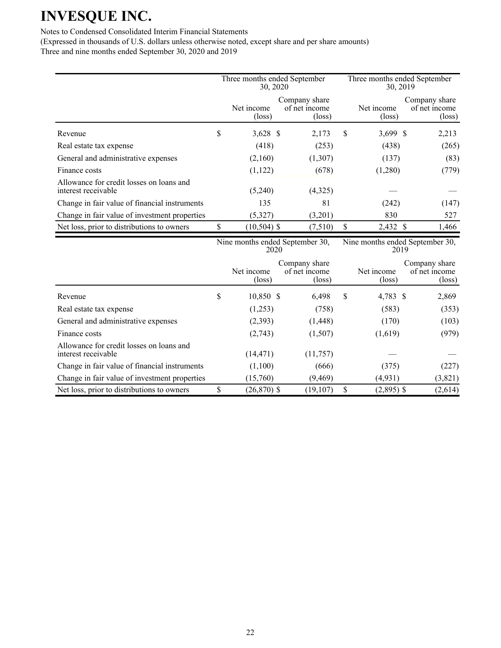### Notes to Condensed Consolidated Interim Financial Statements

|                                                                 | Three months ended September<br>30, 2020 |                               |  |                                                   |    | Three months ended September<br>30, 2019 |  |                                                   |  |
|-----------------------------------------------------------------|------------------------------------------|-------------------------------|--|---------------------------------------------------|----|------------------------------------------|--|---------------------------------------------------|--|
|                                                                 |                                          | Net income<br>$(\text{loss})$ |  | Company share<br>of net income<br>$(\text{loss})$ |    | Net income<br>$(\text{loss})$            |  | Company share<br>of net income<br>$(\text{loss})$ |  |
| Revenue                                                         | \$                                       | $3,628$ \$                    |  | 2,173                                             | S  | $3,699$ \$                               |  | 2,213                                             |  |
| Real estate tax expense                                         |                                          | (418)                         |  | (253)                                             |    | (438)                                    |  | (265)                                             |  |
| General and administrative expenses                             |                                          | (2,160)                       |  | (1,307)                                           |    | (137)                                    |  | (83)                                              |  |
| Finance costs                                                   |                                          | (1,122)                       |  | (678)                                             |    | (1,280)                                  |  | (779)                                             |  |
| Allowance for credit losses on loans and<br>interest receivable |                                          | (5,240)                       |  | (4,325)                                           |    |                                          |  |                                                   |  |
| Change in fair value of financial instruments                   |                                          | 135                           |  | 81                                                |    | (242)                                    |  | (147)                                             |  |
| Change in fair value of investment properties                   |                                          | (5,327)                       |  | (3,201)                                           |    | 830                                      |  | 527                                               |  |
| Net loss, prior to distributions to owners                      | \$                                       | $(10,504)$ \$                 |  | (7,510)                                           | \$ | 2,432 \$                                 |  | 1,466                                             |  |

|                                                                 | Nine months ended September 30,<br>2020 |                      |  |                                                   | Nine months ended September 30,<br>2019 |                               |                                                   |  |
|-----------------------------------------------------------------|-----------------------------------------|----------------------|--|---------------------------------------------------|-----------------------------------------|-------------------------------|---------------------------------------------------|--|
|                                                                 |                                         | Net income<br>(loss) |  | Company share<br>of net income<br>$(\text{loss})$ |                                         | Net income<br>$(\text{loss})$ | Company share<br>of net income<br>$(\text{loss})$ |  |
| Revenue                                                         | \$                                      | 10,850 \$            |  | 6,498                                             | \$                                      | 4,783 \$                      | 2,869                                             |  |
| Real estate tax expense                                         |                                         | (1,253)              |  | (758)                                             |                                         | (583)                         | (353)                                             |  |
| General and administrative expenses                             |                                         | (2,393)              |  | (1, 448)                                          |                                         | (170)                         | (103)                                             |  |
| Finance costs                                                   |                                         | (2,743)              |  | (1,507)                                           |                                         | (1,619)                       | (979)                                             |  |
| Allowance for credit losses on loans and<br>interest receivable |                                         | (14, 471)            |  | (11,757)                                          |                                         |                               |                                                   |  |
| Change in fair value of financial instruments                   |                                         | (1,100)              |  | (666)                                             |                                         | (375)                         | (227)                                             |  |
| Change in fair value of investment properties                   |                                         | (15,760)             |  | (9, 469)                                          |                                         | (4, 931)                      | (3,821)                                           |  |
| Net loss, prior to distributions to owners                      | \$                                      | $(26,870)$ \$        |  | (19, 107)                                         | S                                       | $(2,895)$ \$                  | (2,614)                                           |  |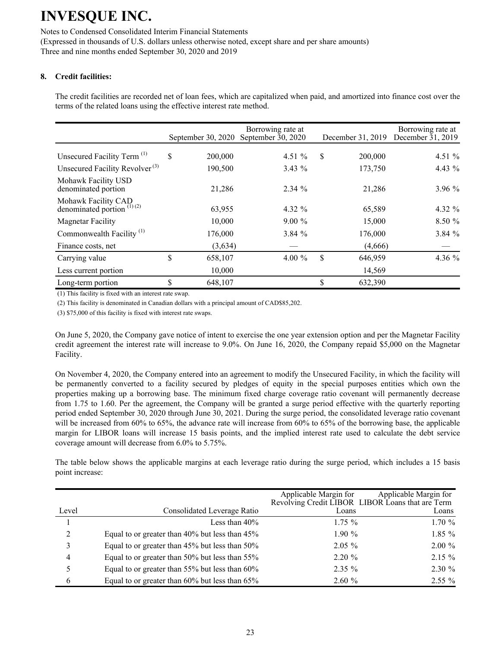Notes to Condensed Consolidated Interim Financial Statements (Expressed in thousands of U.S. dollars unless otherwise noted, except share and per share amounts) Three and nine months ended September 30, 2020 and 2019

### **8. Credit facilities:**

The credit facilities are recorded net of loan fees, which are capitalized when paid, and amortized into finance cost over the terms of the related loans using the effective interest rate method.

|                                                                           | September 30, $2020$ | Borrowing rate at<br>September $\bar{3}0$ , 2020 | December 31, 2019 | Borrowing rate at<br>December $31, 2019$ |
|---------------------------------------------------------------------------|----------------------|--------------------------------------------------|-------------------|------------------------------------------|
| Unsecured Facility Term <sup>(1)</sup>                                    | \$<br>200,000        | 4.51 $%$                                         | \$<br>200,000     | 4.51 $%$                                 |
| Unsecured Facility Revolver <sup>(3)</sup>                                | 190,500              | $3.43\%$                                         | 173,750           | 4.43 $%$                                 |
| Mohawk Facility USD<br>denominated portion                                | 21,286               | 2.34%                                            | 21,286            | 3.96%                                    |
| Mohawk Facility CAD<br>denominated portion <sup><math>(1)(2)</math></sup> | 63,955               | 4.32 $%$                                         | 65,589            | 4.32 %                                   |
| <b>Magnetar Facility</b>                                                  | 10,000               | $9.00\%$                                         | 15,000            | 8.50%                                    |
| Commonwealth Facility <sup>(1)</sup>                                      | 176,000              | 3.84%                                            | 176,000           | 3.84%                                    |
| Finance costs, net                                                        | (3,634)              |                                                  | (4,666)           |                                          |
| Carrying value                                                            | \$<br>658,107        | 4.00 $%$                                         | \$<br>646,959     | 4.36 $%$                                 |
| Less current portion                                                      | 10,000               |                                                  | 14,569            |                                          |
| Long-term portion                                                         | \$<br>648,107        |                                                  | \$<br>632,390     |                                          |

(1) This facility is fixed with an interest rate swap.

(2) This facility is denominated in Canadian dollars with a principal amount of CAD\$85,202.

(3) \$75,000 of this facility is fixed with interest rate swaps.

On June 5, 2020, the Company gave notice of intent to exercise the one year extension option and per the Magnetar Facility credit agreement the interest rate will increase to 9.0%. On June 16, 2020, the Company repaid \$5,000 on the Magnetar Facility.

On November 4, 2020, the Company entered into an agreement to modify the Unsecured Facility, in which the facility will be permanently converted to a facility secured by pledges of equity in the special purposes entities which own the properties making up a borrowing base. The minimum fixed charge coverage ratio covenant will permanently decrease from 1.75 to 1.60. Per the agreement, the Company will be granted a surge period effective with the quarterly reporting period ended September 30, 2020 through June 30, 2021. During the surge period, the consolidated leverage ratio covenant will be increased from 60% to 65%, the advance rate will increase from 60% to 65% of the borrowing base, the applicable margin for LIBOR loans will increase 15 basis points, and the implied interest rate used to calculate the debt service coverage amount will decrease from 6.0% to 5.75%.

The table below shows the applicable margins at each leverage ratio during the surge period, which includes a 15 basis point increase:

|       |                                                | Applicable Margin for<br>Revolving Credit LIBOR LIBOR Loans that are Term | Applicable Margin for |
|-------|------------------------------------------------|---------------------------------------------------------------------------|-----------------------|
| Level | Consolidated Leverage Ratio                    | Loans                                                                     | Loans                 |
|       | Less than $40\%$                               | $1.75\%$                                                                  | 1.70%                 |
| 2     | Equal to or greater than 40% but less than 45% | $1.90\%$                                                                  | $1.85\%$              |
| 3     | Equal to or greater than 45% but less than 50% | $2.05\%$                                                                  | $2.00\%$              |
| 4     | Equal to or greater than 50% but less than 55% | $2.20 \%$                                                                 | $2.15 \%$             |
| 5     | Equal to or greater than 55% but less than 60% | $2.35\%$                                                                  | $2.30 \%$             |
| 6     | Equal to or greater than 60% but less than 65% | 2.60%                                                                     | $2.55\%$              |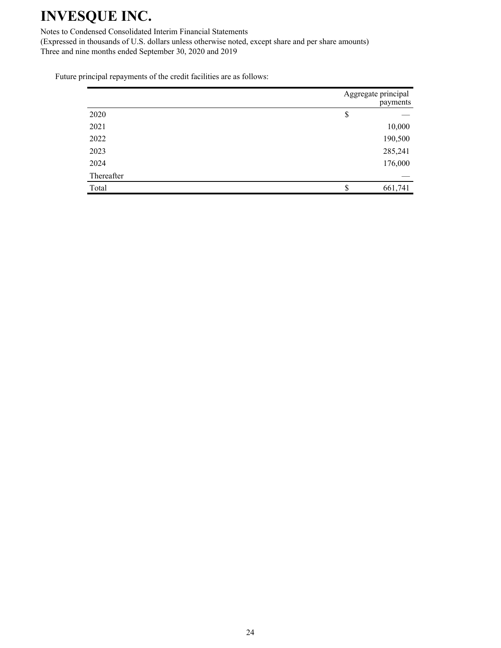Notes to Condensed Consolidated Interim Financial Statements

(Expressed in thousands of U.S. dollars unless otherwise noted, except share and per share amounts) Three and nine months ended September 30, 2020 and 2019

Future principal repayments of the credit facilities are as follows:

|            | Aggregate principal | payments |
|------------|---------------------|----------|
| 2020       | \$                  |          |
| 2021       |                     | 10,000   |
| 2022       |                     | 190,500  |
| 2023       |                     | 285,241  |
| 2024       |                     | 176,000  |
| Thereafter |                     |          |
| Total      |                     | 661,741  |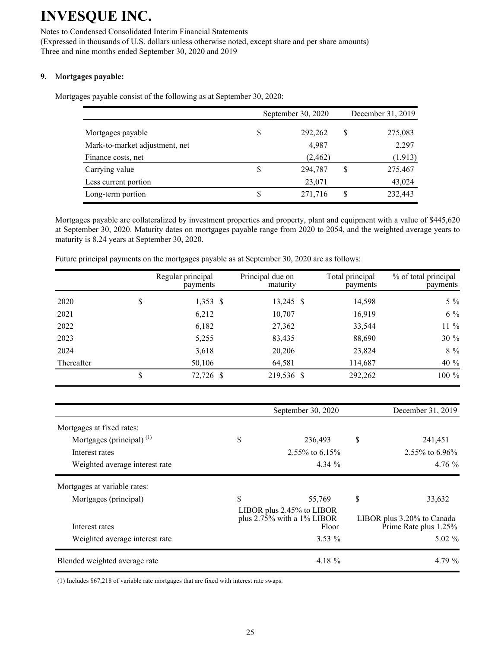#### Notes to Condensed Consolidated Interim Financial Statements

(Expressed in thousands of U.S. dollars unless otherwise noted, except share and per share amounts) Three and nine months ended September 30, 2020 and 2019

### **9.** M**ortgages payable:**

Mortgages payable consist of the following as at September 30, 2020:

|                                |   | September 30, 2020 | December 31, 2019 |          |  |
|--------------------------------|---|--------------------|-------------------|----------|--|
| Mortgages payable              |   | 292,262            | S                 | 275,083  |  |
| Mark-to-market adjustment, net |   | 4,987              |                   | 2,297    |  |
| Finance costs, net             |   | (2, 462)           |                   | (1, 913) |  |
| Carrying value                 | S | 294,787            | \$                | 275,467  |  |
| Less current portion           |   | 23,071             |                   | 43,024   |  |
| Long-term portion              |   | 271,716            | S                 | 232,443  |  |

Mortgages payable are collateralized by investment properties and property, plant and equipment with a value of \$445,620 at September 30, 2020. Maturity dates on mortgages payable range from 2020 to 2054, and the weighted average years to maturity is 8.24 years at September 30, 2020.

|            | Regular principal<br>payments | Principal due on<br>maturity | Total principal<br>payments | % of total principal<br>payments |
|------------|-------------------------------|------------------------------|-----------------------------|----------------------------------|
| 2020       | \$<br>$1,353$ \$              | $13,245$ \$                  | 14,598                      | $5\%$                            |
| 2021       | 6,212                         | 10,707                       | 16,919                      | $6\%$                            |
| 2022       | 6,182                         | 27,362                       | 33,544                      | 11 %                             |
| 2023       | 5,255                         | 83,435                       | 88,690                      | 30 %                             |
| 2024       | 3,618                         | 20,206                       | 23,824                      | 8 %                              |
| Thereafter | 50,106                        | 64,581                       | 114,687                     | 40 %                             |
|            | \$<br>72,726 \$               | 219,536 \$                   | 292,262                     | 100 %                            |

Future principal payments on the mortgages payable as at September 30, 2020 are as follows:

|                                | September 30, 2020                                                  | December 31, 2019                                   |
|--------------------------------|---------------------------------------------------------------------|-----------------------------------------------------|
| Mortgages at fixed rates:      |                                                                     |                                                     |
| Mortgages (principal) $(1)$    | \$<br>236,493                                                       | \$<br>241,451                                       |
| Interest rates                 | $2.55\%$ to 6.15%                                                   | 2.55% to 6.96%                                      |
| Weighted average interest rate | 4.34 $%$                                                            | 4.76 %                                              |
| Mortgages at variable rates:   |                                                                     |                                                     |
| Mortgages (principal)          | \$<br>55,769                                                        | \$<br>33,632                                        |
| Interest rates                 | LIBOR plus 2.45% to LIBOR<br>plus $2.75\%$ with a 1% LIBOR<br>Floor | LIBOR plus 3.20% to Canada<br>Prime Rate plus 1.25% |
| Weighted average interest rate | $3.53\%$                                                            | $5.02\%$                                            |
| Blended weighted average rate  | 4.18 %                                                              | 4.79 $\%$                                           |

(1) Includes \$67,218 of variable rate mortgages that are fixed with interest rate swaps.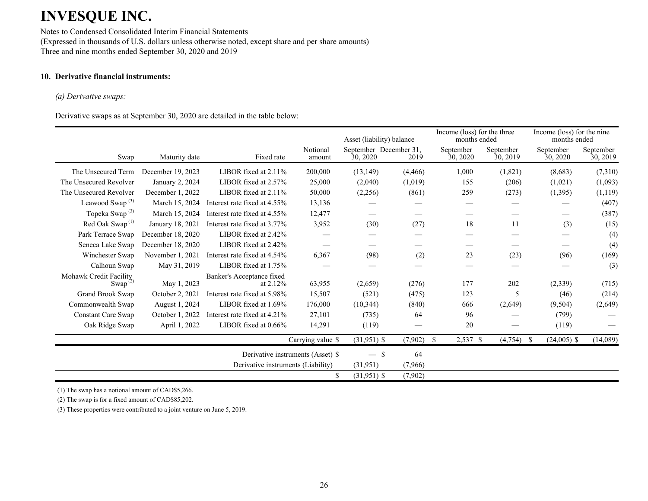Notes to Condensed Consolidated Interim Financial Statements (Expressed in thousands of U.S. dollars unless otherwise noted, except share and per share amounts) Three and nine months ended September 30, 2020 and 2019

### **10. Derivative financial instruments:**

#### *(a) Derivative swaps:*

Derivative swaps as at September 30, 2020 are detailed in the table below:

|                                                            |                   |                                         |                    | Asset (liability) balance          |          | Income (loss) for the three<br>months ended |                       | Income (loss) for the nine<br>months ended |                       |
|------------------------------------------------------------|-------------------|-----------------------------------------|--------------------|------------------------------------|----------|---------------------------------------------|-----------------------|--------------------------------------------|-----------------------|
| Swap                                                       | Maturity date     | Fixed rate                              | Notional<br>amount | September December 31,<br>30, 2020 | 2019     | September<br>30, 2020                       | September<br>30, 2019 | September<br>30, 2020                      | September<br>30, 2019 |
| The Unsecured Term                                         | December 19, 2023 | LIBOR fixed at 2.11%                    | 200,000            | (13, 149)                          | (4, 466) | 1,000                                       | (1,821)               | (8,683)                                    | (7,310)               |
| The Unsecured Revolver                                     | January 2, 2024   | LIBOR fixed at $2.57\%$                 | 25,000             | (2,040)                            | (1,019)  | 155                                         | (206)                 | (1,021)                                    | (1,093)               |
| The Unsecured Revolver                                     | December 1, 2022  | LIBOR fixed at $2.11\%$                 | 50,000             | (2,256)                            | (861)    | 259                                         | (273)                 | (1,395)                                    | (1, 119)              |
| Leawood Swap <sup>(3)</sup>                                | March 15, 2024    | Interest rate fixed at 4.55%            | 13,136             |                                    |          |                                             |                       |                                            | (407)                 |
| Topeka Swap <sup>(3)</sup>                                 | March 15, 2024    | Interest rate fixed at 4.55%            | 12,477             |                                    |          |                                             |                       |                                            | (387)                 |
| Red Oak Swap <sup>(1)</sup>                                | January 18, 2021  | Interest rate fixed at 3.77%            | 3,952              | (30)                               | (27)     | 18                                          | 11                    | (3)                                        | (15)                  |
| Park Terrace Swap                                          | December 18, 2020 | LIBOR fixed at 2.42%                    |                    |                                    |          |                                             |                       |                                            | (4)                   |
| Seneca Lake Swap                                           | December 18, 2020 | LIBOR fixed at 2.42%                    |                    |                                    |          |                                             |                       |                                            | (4)                   |
| Winchester Swap                                            | November 1, 2021  | Interest rate fixed at 4.54%            | 6,367              | (98)                               | (2)      | 23                                          | (23)                  | (96)                                       | (169)                 |
| Calhoun Swap                                               | May 31, 2019      | LIBOR fixed at 1.75%                    |                    |                                    |          |                                             |                       |                                            | (3)                   |
| Mohawk Credit Facility<br>Swap <sup><math>(2)</math></sup> | May 1, 2023       | Banker's Acceptance fixed<br>at $2.12%$ | 63,955             | (2,659)                            | (276)    | 177                                         | 202                   | (2,339)                                    | (715)                 |
| Grand Brook Swap                                           | October 2, 2021   | Interest rate fixed at 5.98%            | 15,507             | (521)                              | (475)    | 123                                         | 5                     | (46)                                       | (214)                 |
| Commonwealth Swap                                          | August 1, 2024    | LIBOR fixed at 1.69%                    | 176,000            | (10, 344)                          | (840)    | 666                                         | (2,649)               | (9,504)                                    | (2,649)               |
| <b>Constant Care Swap</b>                                  | October 1, 2022   | Interest rate fixed at 4.21%            | 27,101             | (735)                              | 64       | 96                                          |                       | (799)                                      |                       |
| Oak Ridge Swap                                             | April 1, 2022     | LIBOR fixed at $0.66\%$                 | 14,291             | (119)                              |          | 20                                          |                       | (119)                                      |                       |
|                                                            |                   |                                         | Carrying value \$  | $(31,951)$ \$                      | (7,902)  | \$<br>2,537 \$                              | (4,754)<br><b>S</b>   | $(24,005)$ \$                              | (14,089)              |
|                                                            |                   | Derivative instruments (Asset) \$       |                    | $-$ \$                             | 64       |                                             |                       |                                            |                       |
|                                                            |                   | Derivative instruments (Liability)      |                    | (31,951)                           | (7,966)  |                                             |                       |                                            |                       |
|                                                            |                   |                                         | \$                 | $(31,951)$ \$                      | (7,902)  |                                             |                       |                                            |                       |

(1) The swap has a notional amount of CAD\$5,266.

(2) The swap is for a fixed amount of CAD\$85,202.

(3) These properties were contributed to a joint venture on June 5, 2019.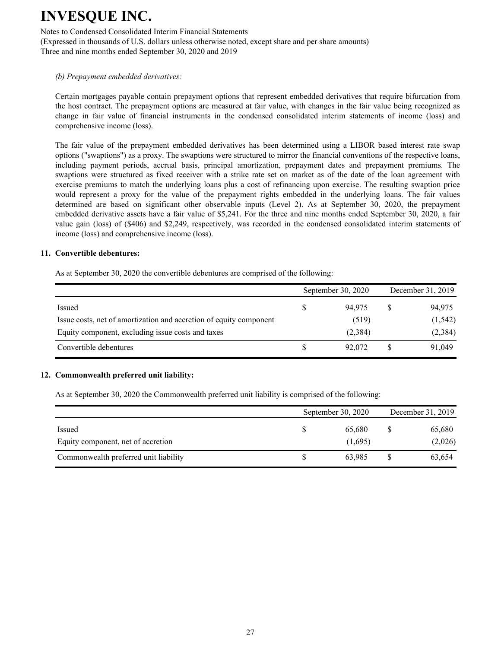Notes to Condensed Consolidated Interim Financial Statements

(Expressed in thousands of U.S. dollars unless otherwise noted, except share and per share amounts) Three and nine months ended September 30, 2020 and 2019

#### *(b) Prepayment embedded derivatives:*

Certain mortgages payable contain prepayment options that represent embedded derivatives that require bifurcation from the host contract. The prepayment options are measured at fair value, with changes in the fair value being recognized as change in fair value of financial instruments in the condensed consolidated interim statements of income (loss) and comprehensive income (loss).

The fair value of the prepayment embedded derivatives has been determined using a LIBOR based interest rate swap options ("swaptions") as a proxy. The swaptions were structured to mirror the financial conventions of the respective loans, including payment periods, accrual basis, principal amortization, prepayment dates and prepayment premiums. The swaptions were structured as fixed receiver with a strike rate set on market as of the date of the loan agreement with exercise premiums to match the underlying loans plus a cost of refinancing upon exercise. The resulting swaption price would represent a proxy for the value of the prepayment rights embedded in the underlying loans. The fair values determined are based on significant other observable inputs (Level 2). As at September 30, 2020, the prepayment embedded derivative assets have a fair value of \$5,241. For the three and nine months ended September 30, 2020, a fair value gain (loss) of (\$406) and \$2,249, respectively, was recorded in the condensed consolidated interim statements of income (loss) and comprehensive income (loss).

#### **11. Convertible debentures:**

As at September 30, 2020 the convertible debentures are comprised of the following:

|                                                                    |    | September 30, 2020 | December 31, 2019 |          |  |
|--------------------------------------------------------------------|----|--------------------|-------------------|----------|--|
| Issued                                                             | \$ | 94.975             |                   | 94,975   |  |
| Issue costs, net of amortization and accretion of equity component |    | (519)              |                   | (1, 542) |  |
| Equity component, excluding issue costs and taxes                  |    | (2,384)            |                   | (2,384)  |  |
| Convertible debentures                                             | S  | 92,072             |                   | 91,049   |  |

#### **12. Commonwealth preferred unit liability:**

As at September 30, 2020 the Commonwealth preferred unit liability is comprised of the following:

|                                       | September 30, 2020 |         |  | December 31, 2019 |  |  |
|---------------------------------------|--------------------|---------|--|-------------------|--|--|
| Issued                                |                    | 65.680  |  | 65,680            |  |  |
| Equity component, net of accretion    |                    | (1,695) |  | (2,026)           |  |  |
| Commonwealth preferred unit liability |                    | 63,985  |  | 63,654            |  |  |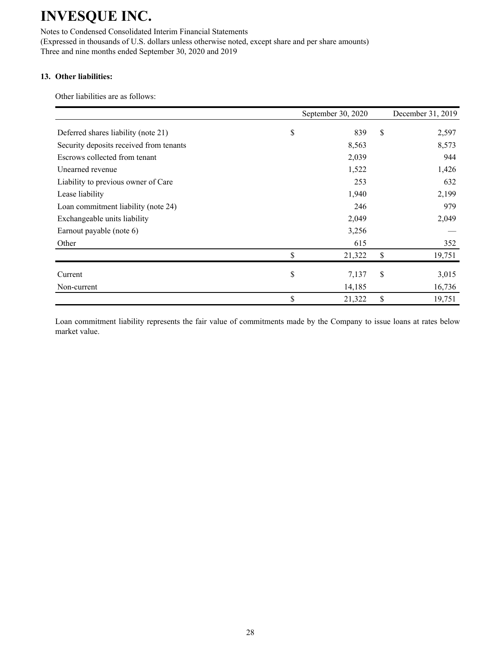Notes to Condensed Consolidated Interim Financial Statements (Expressed in thousands of U.S. dollars unless otherwise noted, except share and per share amounts) Three and nine months ended September 30, 2020 and 2019

### **13. Other liabilities:**

Other liabilities are as follows:

|                                         | September 30, 2020 | December 31, 2019 |
|-----------------------------------------|--------------------|-------------------|
| Deferred shares liability (note 21)     | \$<br>839          | \$<br>2,597       |
| Security deposits received from tenants | 8,563              | 8,573             |
| Escrows collected from tenant           | 2,039              | 944               |
| Unearned revenue                        | 1,522              | 1,426             |
| Liability to previous owner of Care     | 253                | 632               |
| Lease liability                         | 1,940              | 2,199             |
| Loan commitment liability (note 24)     | 246                | 979               |
| Exchangeable units liability            | 2,049              | 2,049             |
| Earnout payable (note 6)                | 3,256              |                   |
| Other                                   | 615                | 352               |
|                                         | \$<br>21,322       | \$<br>19,751      |
| Current                                 | \$<br>7,137        | \$<br>3,015       |
| Non-current                             | 14,185             | 16,736            |
|                                         | \$<br>21,322       | \$<br>19,751      |

Loan commitment liability represents the fair value of commitments made by the Company to issue loans at rates below market value.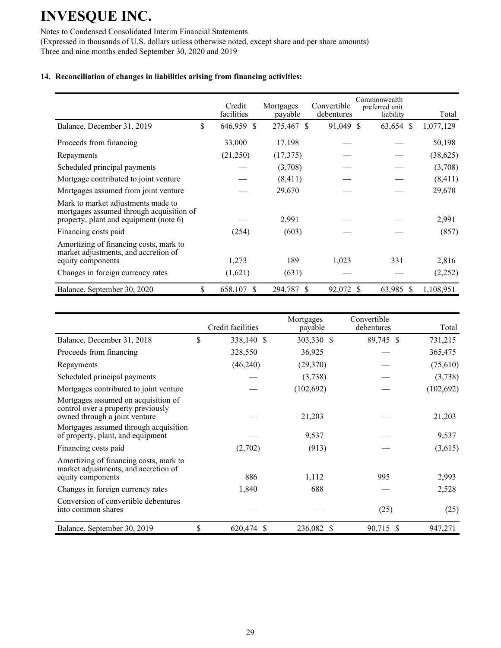Notes to Condensed Consolidated Interim Financial Statements

(Expressed in thousands of U.S. dollars unless otherwise noted, except share and per share amounts) Three and nine months ended September 30, 2020 and 2019

### **14. Reconciliation of changes in liabilities arising from financing activities:**

|                                                                                                                                          | Credit<br>facilities | Mortgages<br>payable | Convertible<br>debentures | Commonwealth<br>preferred unit<br>liability | Total            |
|------------------------------------------------------------------------------------------------------------------------------------------|----------------------|----------------------|---------------------------|---------------------------------------------|------------------|
| Balance, December 31, 2019                                                                                                               | \$<br>646,959<br>S   | 275,467 \$           | 91,049 \$                 | 63,654 \$                                   | 1,077,129        |
| Proceeds from financing                                                                                                                  | 33,000               | 17,198               |                           |                                             | 50,198           |
| Repayments                                                                                                                               | (21,250)             | (17, 375)            |                           |                                             | (38, 625)        |
| Scheduled principal payments                                                                                                             |                      | (3,708)              |                           |                                             | (3,708)          |
| Mortgage contributed to joint venture                                                                                                    |                      | (8, 411)             |                           |                                             | (8, 411)         |
| Mortgages assumed from joint venture                                                                                                     |                      | 29,670               |                           |                                             | 29,670           |
| Mark to market adjustments made to<br>mortgages assumed through acquisition of<br>property, plant and equipment (note 6)                 |                      | 2,991                |                           |                                             | 2,991            |
| Financing costs paid                                                                                                                     | (254)                | (603)                |                           |                                             | (857)            |
| Amortizing of financing costs, mark to<br>market adjustments, and accretion of<br>equity components<br>Changes in foreign currency rates | 1,273<br>(1,621)     | 189<br>(631)         | 1,023                     | 331                                         | 2,816<br>(2,252) |
|                                                                                                                                          |                      |                      |                           |                                             |                  |
| Balance, September 30, 2020                                                                                                              | \$<br>658,107<br>\$  | 294,787<br>S         | 92,072                    | 63,985 \$<br>S                              | 1,108,951        |

|                                                                                                            | Credit facilities | Mortgages<br>payable | Convertible<br>debentures | Total      |
|------------------------------------------------------------------------------------------------------------|-------------------|----------------------|---------------------------|------------|
| Balance, December 31, 2018                                                                                 | \$<br>338,140 \$  | 303,330 \$           | 89,745 \$                 | 731,215    |
| Proceeds from financing                                                                                    | 328,550           | 36,925               |                           | 365,475    |
| Repayments                                                                                                 | (46,240)          | (29,370)             |                           | (75,610)   |
| Scheduled principal payments                                                                               |                   | (3,738)              |                           | (3,738)    |
| Mortgages contributed to joint venture                                                                     |                   | (102, 692)           |                           | (102, 692) |
| Mortgages assumed on acquisition of<br>control over a property previously<br>owned through a joint venture |                   | 21,203               |                           | 21,203     |
| Mortgages assumed through acquisition<br>of property, plant, and equipment                                 |                   | 9,537                |                           | 9,537      |
| Financing costs paid                                                                                       | (2,702)           | (913)                |                           | (3,615)    |
| Amortizing of financing costs, mark to<br>market adjustments, and accretion of<br>equity components        | 886               | 1,112                | 995                       | 2,993      |
| Changes in foreign currency rates                                                                          | 1,840             | 688                  |                           | 2,528      |
| Conversion of convertible debentures<br>into common shares                                                 |                   |                      | (25)                      | (25)       |
| Balance, September 30, 2019                                                                                | \$<br>620,474 \$  | 236,082 \$           | 90,715 \$                 | 947,271    |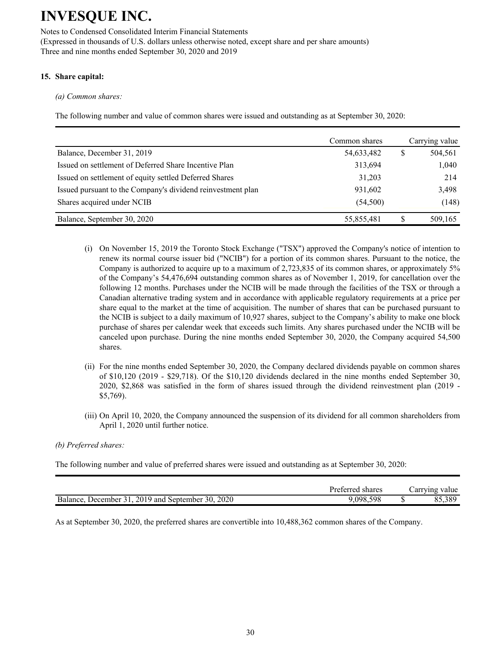Notes to Condensed Consolidated Interim Financial Statements (Expressed in thousands of U.S. dollars unless otherwise noted, except share and per share amounts) Three and nine months ended September 30, 2020 and 2019

### **15. Share capital:**

*(a) Common shares:*

The following number and value of common shares were issued and outstanding as at September 30, 2020:

|                                                             | Common shares |   | Carrying value |
|-------------------------------------------------------------|---------------|---|----------------|
| Balance, December 31, 2019                                  | 54,633,482    | S | 504,561        |
| Issued on settlement of Deferred Share Incentive Plan       | 313,694       |   | 1,040          |
| Issued on settlement of equity settled Deferred Shares      | 31,203        |   | 214            |
| Issued pursuant to the Company's dividend reinvestment plan | 931,602       |   | 3,498          |
| Shares acquired under NCIB                                  | (54, 500)     |   | (148)          |
| Balance, September 30, 2020                                 | 55,855,481    |   | 509,165        |

- (i) On November 15, 2019 the Toronto Stock Exchange ("TSX") approved the Company's notice of intention to renew its normal course issuer bid ("NCIB") for a portion of its common shares. Pursuant to the notice, the Company is authorized to acquire up to a maximum of 2,723,835 of its common shares, or approximately 5% of the Company's 54,476,694 outstanding common shares as of November 1, 2019, for cancellation over the following 12 months. Purchases under the NCIB will be made through the facilities of the TSX or through a Canadian alternative trading system and in accordance with applicable regulatory requirements at a price per share equal to the market at the time of acquisition. The number of shares that can be purchased pursuant to the NCIB is subject to a daily maximum of 10,927 shares, subject to the Company's ability to make one block purchase of shares per calendar week that exceeds such limits. Any shares purchased under the NCIB will be canceled upon purchase. During the nine months ended September 30, 2020, the Company acquired 54,500 shares.
- (ii) For the nine months ended September 30, 2020, the Company declared dividends payable on common shares of \$10,120 (2019 - \$29,718). Of the \$10,120 dividends declared in the nine months ended September 30, 2020, \$2,868 was satisfied in the form of shares issued through the dividend reinvestment plan (2019 - \$5,769).
- (iii) On April 10, 2020, the Company announced the suspension of its dividend for all common shareholders from April 1, 2020 until further notice.

### *(b) Preferred shares:*

The following number and value of preferred shares were issued and outstanding as at September 30, 2020:

|                                                           | Preferred shares | arrying value |
|-----------------------------------------------------------|------------------|---------------|
| 2020<br>2019 and September 30.<br>Balance.<br>December 31 | .598<br>9,098,   | 55,389        |

As at September 30, 2020, the preferred shares are convertible into 10,488,362 common shares of the Company.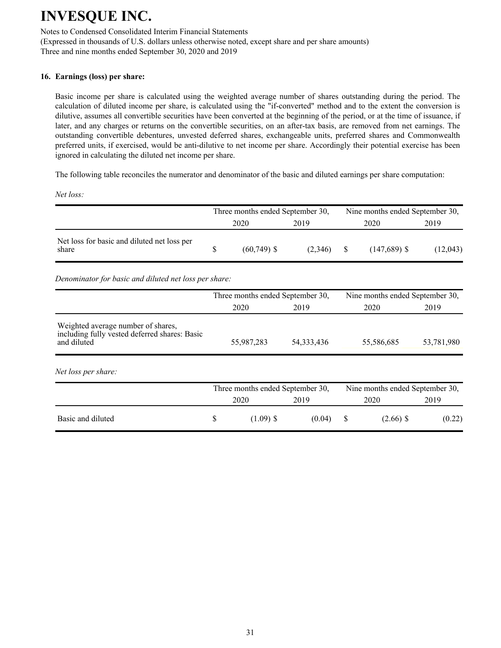Notes to Condensed Consolidated Interim Financial Statements (Expressed in thousands of U.S. dollars unless otherwise noted, except share and per share amounts) Three and nine months ended September 30, 2020 and 2019

### **16. Earnings (loss) per share:**

Basic income per share is calculated using the weighted average number of shares outstanding during the period. The calculation of diluted income per share, is calculated using the "if-converted" method and to the extent the conversion is dilutive, assumes all convertible securities have been converted at the beginning of the period, or at the time of issuance, if later, and any charges or returns on the convertible securities, on an after-tax basis, are removed from net earnings. The outstanding convertible debentures, unvested deferred shares, exchangeable units, preferred shares and Commonwealth preferred units, if exercised, would be anti-dilutive to net income per share. Accordingly their potential exercise has been ignored in calculating the diluted net income per share.

The following table reconciles the numerator and denominator of the basic and diluted earnings per share computation:

*Net loss:*

|                                                      | Three months ended September 30, |                |         |      | Nine months ended September 30, |          |  |
|------------------------------------------------------|----------------------------------|----------------|---------|------|---------------------------------|----------|--|
|                                                      |                                  | 2020           | 2019    | 2020 |                                 | 2019     |  |
| Net loss for basic and diluted net loss per<br>share |                                  | $(60, 749)$ \$ | (2.346) |      | $(147,689)$ \$                  | (12,043) |  |

*Denominator for basic and diluted net loss per share:*

|                                                                                                    |            | Three months ended September 30, |            | Nine months ended September 30, |
|----------------------------------------------------------------------------------------------------|------------|----------------------------------|------------|---------------------------------|
|                                                                                                    | 2020       | 2019                             | 2020       | 2019                            |
| Weighted average number of shares,<br>including fully vested deferred shares: Basic<br>and diluted | 55,987,283 | 54, 333, 436                     | 55,586,685 | 53,781,980                      |
| Net loss per share:                                                                                |            |                                  |            |                                 |
|                                                                                                    |            | Three months ended September 30, |            | Nine months ended September 30, |
|                                                                                                    | 2020       | 2019                             | 2020       | 2019                            |
| Basic and diluted                                                                                  | \$         | $(1.09)$ \$<br>(0.04)            | \$         | $(2.66)$ \$<br>(0.22)           |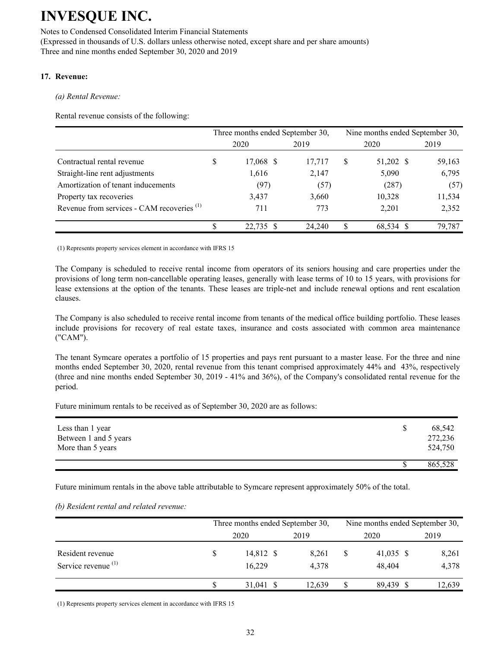Notes to Condensed Consolidated Interim Financial Statements (Expressed in thousands of U.S. dollars unless otherwise noted, except share and per share amounts) Three and nine months ended September 30, 2020 and 2019

### **17. Revenue:**

*(a) Rental Revenue:*

Rental revenue consists of the following:

|                                                       |   | Three months ended September 30, |        |   | Nine months ended September 30, |        |  |
|-------------------------------------------------------|---|----------------------------------|--------|---|---------------------------------|--------|--|
|                                                       |   | 2020                             | 2019   |   | 2020                            | 2019   |  |
| Contractual rental revenue                            | D | 17,068 \$                        | 17,717 | S | 51,202 \$                       | 59,163 |  |
| Straight-line rent adjustments                        |   | 1,616                            | 2,147  |   | 5,090                           | 6,795  |  |
| Amortization of tenant inducements                    |   | (97)                             | (57)   |   | (287)                           | (57)   |  |
| Property tax recoveries                               |   | 3,437                            | 3,660  |   | 10,328                          | 11,534 |  |
| Revenue from services - CAM recoveries <sup>(1)</sup> |   | 711                              | 773    |   | 2,201                           | 2,352  |  |
|                                                       |   | 22,735 \$                        | 24,240 |   | 68,534 \$                       | 79,787 |  |

(1) Represents property services element in accordance with IFRS 15

The Company is scheduled to receive rental income from operators of its seniors housing and care properties under the provisions of long term non-cancellable operating leases, generally with lease terms of 10 to 15 years, with provisions for lease extensions at the option of the tenants. These leases are triple-net and include renewal options and rent escalation clauses.

The Company is also scheduled to receive rental income from tenants of the medical office building portfolio. These leases include provisions for recovery of real estate taxes, insurance and costs associated with common area maintenance ("CAM").

The tenant Symcare operates a portfolio of 15 properties and pays rent pursuant to a master lease. For the three and nine months ended September 30, 2020, rental revenue from this tenant comprised approximately 44% and 43%, respectively (three and nine months ended September 30, 2019 - 41% and 36%), of the Company's consolidated rental revenue for the period.

Future minimum rentals to be received as of September 30, 2020 are as follows:

| Less than 1 year<br>Between 1 and 5 years<br>More than 5 years | 68,542<br>272,236<br>524,750 |
|----------------------------------------------------------------|------------------------------|
|                                                                | 865,528                      |

Future minimum rentals in the above table attributable to Symcare represent approximately 50% of the total.

### *(b) Resident rental and related revenue:*

|                       | Three months ended September 30, |        | Nine months ended September 30, |           |        |  |  |
|-----------------------|----------------------------------|--------|---------------------------------|-----------|--------|--|--|
|                       | 2020                             | 2019   |                                 | 2020      | 2019   |  |  |
| Resident revenue      | 14,812 \$                        | 8,261  |                                 | 41,035 \$ | 8,261  |  |  |
| Service revenue $(1)$ | 16,229                           | 4.378  |                                 | 48.404    | 4,378  |  |  |
|                       | 31,041 \$                        | 12.639 |                                 | 89,439 \$ | 12,639 |  |  |

(1) Represents property services element in accordance with IFRS 15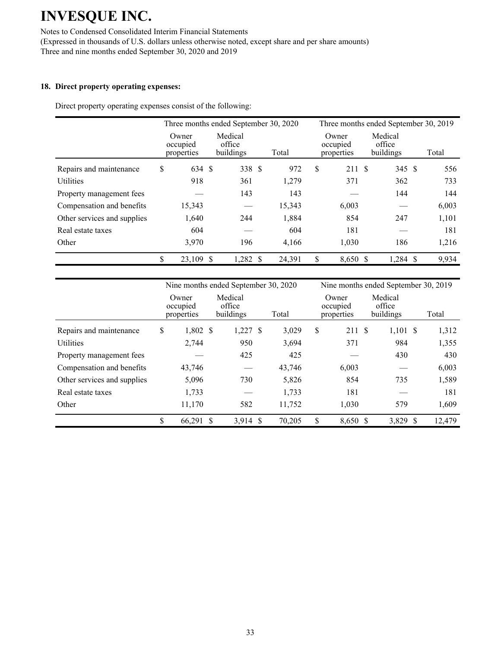Notes to Condensed Consolidated Interim Financial Statements (Expressed in thousands of U.S. dollars unless otherwise noted, except share and per share amounts) Three and nine months ended September 30, 2020 and 2019

#### **18. Direct property operating expenses:**

Direct property operating expenses consist of the following:

|                             |                                 | Three months ended September 30, 2020 |        | Three months ended September 30, 2019 |                                |       |  |  |
|-----------------------------|---------------------------------|---------------------------------------|--------|---------------------------------------|--------------------------------|-------|--|--|
|                             | Owner<br>occupied<br>properties | Medical<br>office<br>buildings        | Total  | Owner<br>occupied<br>properties       | Medical<br>office<br>buildings | Total |  |  |
| Repairs and maintenance     | \$<br>634 \$                    | 338 \$                                | 972    | \$<br>211                             | - \$<br>345 \$                 | 556   |  |  |
| <b>Utilities</b>            | 918                             | 361                                   | 1,279  | 371                                   | 362                            | 733   |  |  |
| Property management fees    |                                 | 143                                   | 143    |                                       | 144                            | 144   |  |  |
| Compensation and benefits   | 15,343                          |                                       | 15,343 | 6,003                                 |                                | 6,003 |  |  |
| Other services and supplies | 1,640                           | 244                                   | 1,884  | 854                                   | 247                            | 1,101 |  |  |
| Real estate taxes           | 604                             |                                       | 604    | 181                                   |                                | 181   |  |  |
| Other                       | 3,970                           | 196                                   | 4,166  | 1,030                                 | 186                            | 1,216 |  |  |
|                             | \$<br>23,109 \$                 | 1,282 \$                              | 24,391 | \$<br>8,650 \$                        | 1,284 \$                       | 9,934 |  |  |

|                             | Nine months ended September 30, 2020 |  |                                |  |        |    | Nine months ended September 30, 2019 |  |                                |    |        |  |
|-----------------------------|--------------------------------------|--|--------------------------------|--|--------|----|--------------------------------------|--|--------------------------------|----|--------|--|
|                             | Owner<br>occupied<br>properties      |  | Medical<br>office<br>buildings |  | Total  |    | Owner<br>occupied<br>properties      |  | Medical<br>office<br>buildings |    | Total  |  |
| Repairs and maintenance     | \$<br>$1,802$ \$                     |  | $1,227$ \$                     |  | 3,029  | \$ | 211 \$                               |  | $1,101$ \$                     |    | 1,312  |  |
| <b>Utilities</b>            | 2,744                                |  | 950                            |  | 3,694  |    | 371                                  |  | 984                            |    | 1,355  |  |
| Property management fees    |                                      |  | 425                            |  | 425    |    |                                      |  | 430                            |    | 430    |  |
| Compensation and benefits   | 43,746                               |  |                                |  | 43,746 |    | 6,003                                |  |                                |    | 6,003  |  |
| Other services and supplies | 5,096                                |  | 730                            |  | 5,826  |    | 854                                  |  | 735                            |    | 1,589  |  |
| Real estate taxes           | 1,733                                |  |                                |  | 1,733  |    | 181                                  |  |                                |    | 181    |  |
| Other                       | 11,170                               |  | 582                            |  | 11,752 |    | 1,030                                |  | 579                            |    | 1,609  |  |
|                             | \$<br>66,291 \$                      |  | $3,914$ \$                     |  | 70,205 | \$ | 8,650 \$                             |  | 3,829                          | -S | 12,479 |  |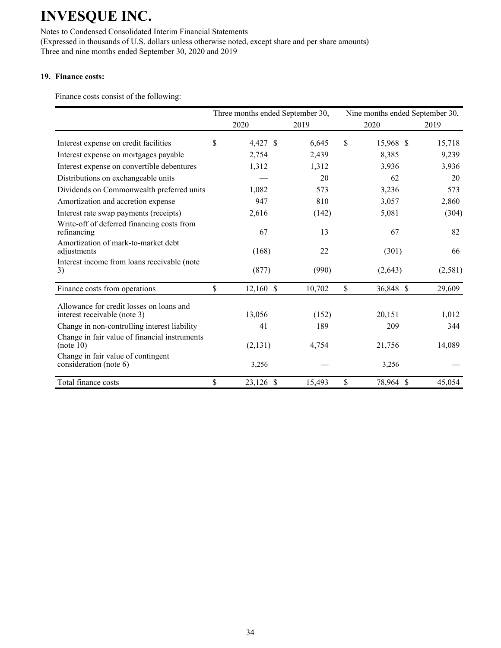Notes to Condensed Consolidated Interim Financial Statements (Expressed in thousands of U.S. dollars unless otherwise noted, except share and per share amounts) Three and nine months ended September 30, 2020 and 2019

### **19. Finance costs:**

Finance costs consist of the following:

|                                                                          | Three months ended September 30, |        | Nine months ended September 30, |         |
|--------------------------------------------------------------------------|----------------------------------|--------|---------------------------------|---------|
|                                                                          | 2020                             | 2019   | 2020                            | 2019    |
| Interest expense on credit facilities                                    | \$<br>4,427 \$                   | 6,645  | \$<br>15,968 \$                 | 15,718  |
| Interest expense on mortgages payable                                    | 2,754                            | 2,439  | 8,385                           | 9,239   |
| Interest expense on convertible debentures                               | 1,312                            | 1,312  | 3,936                           | 3,936   |
| Distributions on exchangeable units                                      |                                  | 20     | 62                              | 20      |
| Dividends on Commonwealth preferred units                                | 1,082                            | 573    | 3,236                           | 573     |
| Amortization and accretion expense                                       | 947                              | 810    | 3,057                           | 2,860   |
| Interest rate swap payments (receipts)                                   | 2,616                            | (142)  | 5,081                           | (304)   |
| Write-off of deferred financing costs from<br>refinancing                | 67                               | 13     | 67                              | 82      |
| Amortization of mark-to-market debt<br>adjustments                       | (168)                            | 22     | (301)                           | 66      |
| Interest income from loans receivable (note<br>3)                        | (877)                            | (990)  | (2,643)                         | (2,581) |
| Finance costs from operations                                            | \$<br>$12,160$ \$                | 10,702 | \$<br>36,848 \$                 | 29,609  |
| Allowance for credit losses on loans and<br>interest receivable (note 3) | 13,056                           | (152)  | 20,151                          | 1,012   |
| Change in non-controlling interest liability                             | 41                               | 189    | 209                             | 344     |
| Change in fair value of financial instruments<br>(note 10)               | (2,131)                          | 4,754  | 21,756                          | 14,089  |
| Change in fair value of contingent<br>consideration (note 6)             | 3,256                            |        | 3,256                           |         |
| Total finance costs                                                      | \$<br>23,126 \$                  | 15,493 | \$<br>78,964 \$                 | 45,054  |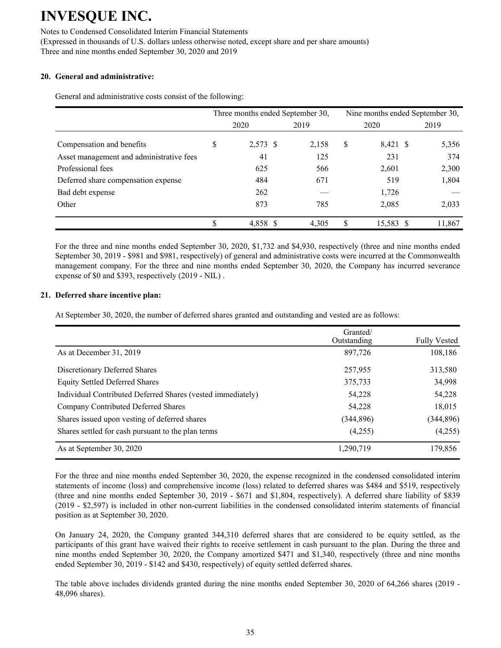Notes to Condensed Consolidated Interim Financial Statements (Expressed in thousands of U.S. dollars unless otherwise noted, except share and per share amounts) Three and nine months ended September 30, 2020 and 2019

### **20. General and administrative:**

General and administrative costs consist of the following:

|                                          |      |          |  | Three months ended September 30, | Nine months ended September 30, |           |  |        |  |  |
|------------------------------------------|------|----------|--|----------------------------------|---------------------------------|-----------|--|--------|--|--|
|                                          | 2020 |          |  | 2019                             |                                 | 2020      |  | 2019   |  |  |
| Compensation and benefits                | \$   | 2,573 \$ |  | 2,158                            | \$                              | 8,421 \$  |  | 5,356  |  |  |
| Asset management and administrative fees |      | 41       |  | 125                              |                                 | 231       |  | 374    |  |  |
| Professional fees                        |      | 625      |  | 566                              |                                 | 2,601     |  | 2,300  |  |  |
| Deferred share compensation expense      |      | 484      |  | 671                              |                                 | 519       |  | 1,804  |  |  |
| Bad debt expense                         |      | 262      |  |                                  |                                 | 1,726     |  |        |  |  |
| Other                                    |      | 873      |  | 785                              |                                 | 2,085     |  | 2,033  |  |  |
|                                          | \$   | 4.858 \$ |  | 4.305                            | S                               | 15,583 \$ |  | 11,867 |  |  |

For the three and nine months ended September 30, 2020, \$1,732 and \$4,930, respectively (three and nine months ended September 30, 2019 - \$981 and \$981, respectively) of general and administrative costs were incurred at the Commonwealth management company. For the three and nine months ended September 30, 2020, the Company has incurred severance expense of \$0 and \$393, respectively (2019 - NIL) .

### **21. Deferred share incentive plan:**

At September 30, 2020, the number of deferred shares granted and outstanding and vested are as follows:

|                                                             | Granted/<br>Outstanding | <b>Fully Vested</b> |
|-------------------------------------------------------------|-------------------------|---------------------|
| As at December 31, 2019                                     | 897,726                 | 108,186             |
| Discretionary Deferred Shares                               | 257,955                 | 313,580             |
| <b>Equity Settled Deferred Shares</b>                       | 375,733                 | 34,998              |
| Individual Contributed Deferred Shares (vested immediately) | 54,228                  | 54,228              |
| Company Contributed Deferred Shares                         | 54,228                  | 18,015              |
| Shares issued upon vesting of deferred shares               | (344, 896)              | (344, 896)          |
| Shares settled for cash pursuant to the plan terms          | (4,255)                 | (4,255)             |
| As at September 30, 2020                                    | 1,290,719               | 179,856             |

For the three and nine months ended September 30, 2020, the expense recognized in the condensed consolidated interim statements of income (loss) and comprehensive income (loss) related to deferred shares was \$484 and \$519, respectively (three and nine months ended September 30, 2019 - \$671 and \$1,804, respectively). A deferred share liability of \$839 (2019 - \$2,597) is included in other non-current liabilities in the condensed consolidated interim statements of financial position as at September 30, 2020.

On January 24, 2020, the Company granted 344,310 deferred shares that are considered to be equity settled, as the participants of this grant have waived their rights to receive settlement in cash pursuant to the plan. During the three and nine months ended September 30, 2020, the Company amortized \$471 and \$1,340, respectively (three and nine months ended September 30, 2019 - \$142 and \$430, respectively) of equity settled deferred shares.

The table above includes dividends granted during the nine months ended September 30, 2020 of 64,266 shares (2019 - 48,096 shares).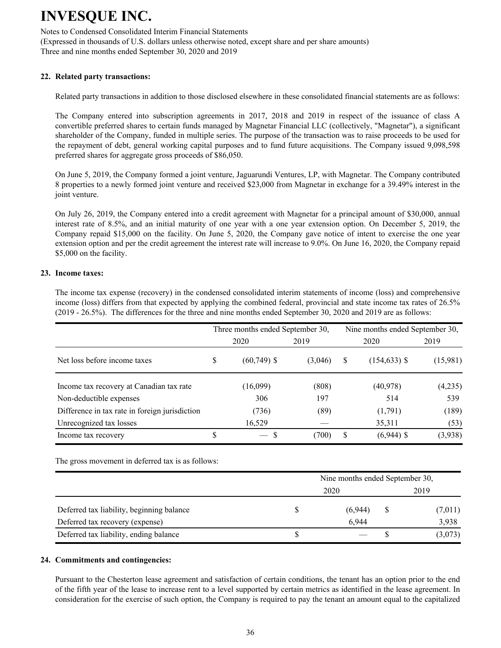Notes to Condensed Consolidated Interim Financial Statements (Expressed in thousands of U.S. dollars unless otherwise noted, except share and per share amounts) Three and nine months ended September 30, 2020 and 2019

### **22. Related party transactions:**

Related party transactions in addition to those disclosed elsewhere in these consolidated financial statements are as follows:

The Company entered into subscription agreements in 2017, 2018 and 2019 in respect of the issuance of class A convertible preferred shares to certain funds managed by Magnetar Financial LLC (collectively, "Magnetar"), a significant shareholder of the Company, funded in multiple series. The purpose of the transaction was to raise proceeds to be used for the repayment of debt, general working capital purposes and to fund future acquisitions. The Company issued 9,098,598 preferred shares for aggregate gross proceeds of \$86,050.

On June 5, 2019, the Company formed a joint venture, Jaguarundi Ventures, LP, with Magnetar. The Company contributed 8 properties to a newly formed joint venture and received \$23,000 from Magnetar in exchange for a 39.49% interest in the joint venture.

On July 26, 2019, the Company entered into a credit agreement with Magnetar for a principal amount of \$30,000, annual interest rate of 8.5%, and an initial maturity of one year with a one year extension option. On December 5, 2019, the Company repaid \$15,000 on the facility. On June 5, 2020, the Company gave notice of intent to exercise the one year extension option and per the credit agreement the interest rate will increase to 9.0%. On June 16, 2020, the Company repaid \$5,000 on the facility.

#### **23. Income taxes:**

The income tax expense (recovery) in the condensed consolidated interim statements of income (loss) and comprehensive income (loss) differs from that expected by applying the combined federal, provincial and state income tax rates of 26.5% (2019 - 26.5%). The differences for the three and nine months ended September 30, 2020 and 2019 are as follows:

|                                                |      | Three months ended September 30, |         | Nine months ended September 30, |                 |          |  |  |  |
|------------------------------------------------|------|----------------------------------|---------|---------------------------------|-----------------|----------|--|--|--|
|                                                | 2020 |                                  | 2019    |                                 | 2020            | 2019     |  |  |  |
| Net loss before income taxes                   | S    | $(60, 749)$ \$                   | (3,046) | S                               | $(154, 633)$ \$ | (15,981) |  |  |  |
| Income tax recovery at Canadian tax rate       |      | (16,099)                         | (808)   |                                 | (40, 978)       | (4,235)  |  |  |  |
| Non-deductible expenses                        |      | 306                              | 197     |                                 | 514             | 539      |  |  |  |
| Difference in tax rate in foreign jurisdiction |      | (736)                            | (89)    |                                 | (1,791)         | (189)    |  |  |  |
| Unrecognized tax losses                        |      | 16,529                           |         |                                 | 35,311          | (53)     |  |  |  |
| Income tax recovery                            |      | S<br>$\overline{\phantom{a}}$    | (700)   |                                 | $(6,944)$ \$    | (3,938)  |  |  |  |

The gross movement in deferred tax is as follows:

|                                           |   | Nine months ended September 30, |      |         |  |  |  |  |
|-------------------------------------------|---|---------------------------------|------|---------|--|--|--|--|
|                                           |   |                                 | 2019 |         |  |  |  |  |
| Deferred tax liability, beginning balance |   | (6,944)                         |      | (7,011) |  |  |  |  |
| Deferred tax recovery (expense)           |   | 6.944                           |      | 3,938   |  |  |  |  |
| Deferred tax liability, ending balance    | ъ |                                 |      | (3,073) |  |  |  |  |

#### **24. Commitments and contingencies:**

Pursuant to the Chesterton lease agreement and satisfaction of certain conditions, the tenant has an option prior to the end of the fifth year of the lease to increase rent to a level supported by certain metrics as identified in the lease agreement. In consideration for the exercise of such option, the Company is required to pay the tenant an amount equal to the capitalized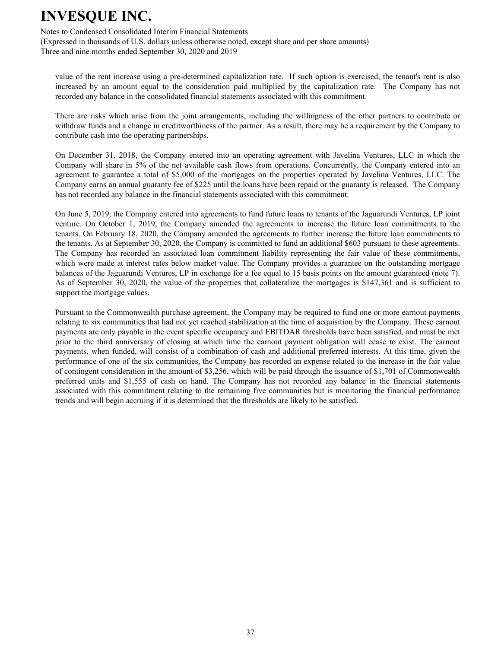Notes to Condensed Consolidated Interim Financial Statements

(Expressed in thousands of U.S. dollars unless otherwise noted, except share and per share amounts) Three and nine months ended September 30, 2020 and 2019

value of the rent increase using a pre-determined capitalization rate. If such option is exercised, the tenant's rent is also increased by an amount equal to the consideration paid multiplied by the capitalization rate. The Company has not recorded any balance in the consolidated financial statements associated with this commitment.

There are risks which arise from the joint arrangements, including the willingness of the other partners to contribute or withdraw funds and a change in creditworthiness of the partner. As a result, there may be a requirement by the Company to contribute cash into the operating partnerships.

On December 31, 2018, the Company entered into an operating agreement with Javelina Ventures, LLC in which the Company will share in 5% of the net available cash flows from operations. Concurrently, the Company entered into an agreement to guarantee a total of \$5,000 of the mortgages on the properties operated by Javelina Ventures, LLC. The Company earns an annual guaranty fee of \$225 until the loans have been repaid or the guaranty is released. The Company has not recorded any balance in the financial statements associated with this commitment.

On June 5, 2019, the Company entered into agreements to fund future loans to tenants of the Jaguarundi Ventures, LP joint venture. On October 1, 2019, the Company amended the agreements to increase the future loan commitments to the tenants. On February 18, 2020, the Company amended the agreements to further increase the future loan commitments to the tenants. As at September 30, 2020, the Company is committed to fund an additional \$603 pursuant to these agreements. The Company has recorded an associated loan commitment liability representing the fair value of these commitments, which were made at interest rates below market value. The Company provides a guarantee on the outstanding mortgage balances of the Jaguarundi Ventures, LP in exchange for a fee equal to 15 basis points on the amount guaranteed (note 7). As of September 30, 2020, the value of the properties that collateralize the mortgages is \$147,361 and is sufficient to support the mortgage values.

Pursuant to the Commonwealth purchase agreement, the Company may be required to fund one or more earnout payments relating to six communities that had not yet reached stabilization at the time of acquisition by the Company. These earnout payments are only payable in the event specific occupancy and EBITDAR thresholds have been satisfied, and must be met prior to the third anniversary of closing at which time the earnout payment obligation will cease to exist. The earnout payments, when funded, will consist of a combination of cash and additional preferred interests. At this time, given the performance of one of the six communities, the Company has recorded an expense related to the increase in the fair value of contingent consideration in the amount of \$3,256, which will be paid through the issuance of \$1,701 of Commonwealth preferred units and \$1,555 of cash on hand. The Company has not recorded any balance in the financial statements associated with this commitment relating to the remaining five communities but is monitoring the financial performance trends and will begin accruing if it is determined that the thresholds are likely to be satisfied.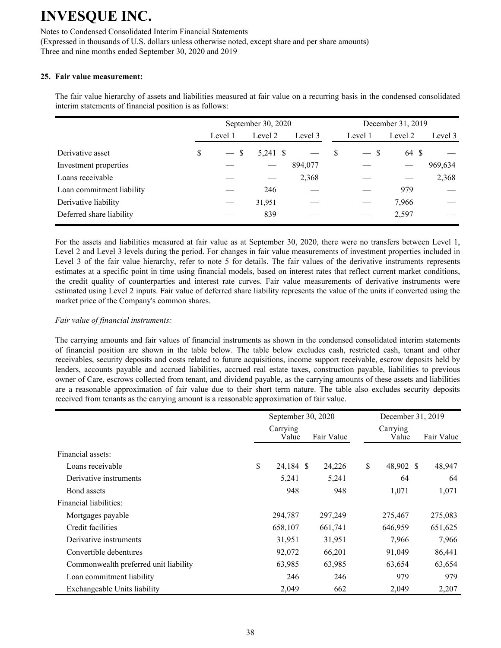Notes to Condensed Consolidated Interim Financial Statements (Expressed in thousands of U.S. dollars unless otherwise noted, except share and per share amounts) Three and nine months ended September 30, 2020 and 2019

### **25. Fair value measurement:**

The fair value hierarchy of assets and liabilities measured at fair value on a recurring basis in the condensed consolidated interim statements of financial position is as follows:

|                           |   |         | September 30, 2020 |         |   | December 31, 2019              |         |         |  |  |
|---------------------------|---|---------|--------------------|---------|---|--------------------------------|---------|---------|--|--|
|                           |   | Level 1 | Level 2            | Level 3 |   | Level 1                        | Level 2 | Level 3 |  |  |
| Derivative asset          | S | $-$ \$  | 5,241 \$           |         | S | -S<br>$\overline{\phantom{a}}$ | 64 \$   |         |  |  |
| Investment properties     |   |         |                    | 894,077 |   |                                |         | 969,634 |  |  |
| Loans receivable          |   |         |                    | 2,368   |   |                                |         | 2,368   |  |  |
| Loan commitment liability |   |         | 246                |         |   |                                | 979     |         |  |  |
| Derivative liability      |   |         | 31,951             |         |   |                                | 7,966   |         |  |  |
| Deferred share liability  |   |         | 839                |         |   |                                | 2,597   |         |  |  |

 For the assets and liabilities measured at fair value as at September 30, 2020, there were no transfers between Level 1, Level 2 and Level 3 levels during the period. For changes in fair value measurements of investment properties included in Level 3 of the fair value hierarchy, refer to note 5 for details. The fair values of the derivative instruments represents estimates at a specific point in time using financial models, based on interest rates that reflect current market conditions, the credit quality of counterparties and interest rate curves. Fair value measurements of derivative instruments were estimated using Level 2 inputs. Fair value of deferred share liability represents the value of the units if converted using the market price of the Company's common shares.

#### *Fair value of financial instruments:*

The carrying amounts and fair values of financial instruments as shown in the condensed consolidated interim statements of financial position are shown in the table below. The table below excludes cash, restricted cash, tenant and other receivables, security deposits and costs related to future acquisitions, income support receivable, escrow deposits held by lenders, accounts payable and accrued liabilities, accrued real estate taxes, construction payable, liabilities to previous owner of Care, escrows collected from tenant, and dividend payable, as the carrying amounts of these assets and liabilities are a reasonable approximation of fair value due to their short term nature. The table also excludes security deposits received from tenants as the carrying amount is a reasonable approximation of fair value.

|                                       | September 30, 2020 |            |    | December 31, 2019 |  |            |
|---------------------------------------|--------------------|------------|----|-------------------|--|------------|
|                                       | Carrying<br>Value  | Fair Value |    | Carrying<br>Value |  | Fair Value |
| Financial assets:                     |                    |            |    |                   |  |            |
| Loans receivable                      | \$<br>24,184 \$    | 24,226     | \$ | 48,902 \$         |  | 48,947     |
| Derivative instruments                | 5,241              | 5,241      |    | 64                |  | 64         |
| Bond assets                           | 948                | 948        |    | 1,071             |  | 1,071      |
| Financial liabilities:                |                    |            |    |                   |  |            |
| Mortgages payable                     | 294,787            | 297,249    |    | 275,467           |  | 275,083    |
| Credit facilities                     | 658,107            | 661,741    |    | 646,959           |  | 651,625    |
| Derivative instruments                | 31,951             | 31,951     |    | 7,966             |  | 7,966      |
| Convertible debentures                | 92,072             | 66,201     |    | 91,049            |  | 86,441     |
| Commonwealth preferred unit liability | 63,985             | 63,985     |    | 63,654            |  | 63,654     |
| Loan commitment liability             | 246                | 246        |    | 979               |  | 979        |
| Exchangeable Units liability          | 2,049              | 662        |    | 2,049             |  | 2,207      |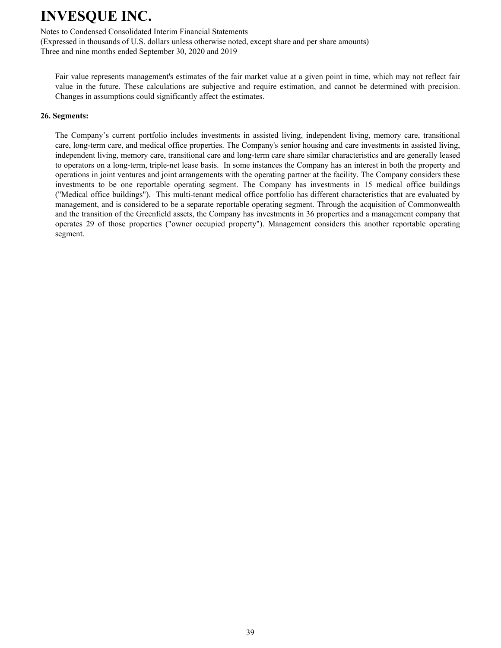Notes to Condensed Consolidated Interim Financial Statements

(Expressed in thousands of U.S. dollars unless otherwise noted, except share and per share amounts) Three and nine months ended September 30, 2020 and 2019

Fair value represents management's estimates of the fair market value at a given point in time, which may not reflect fair value in the future. These calculations are subjective and require estimation, and cannot be determined with precision. Changes in assumptions could significantly affect the estimates.

#### **26. Segments:**

The Company's current portfolio includes investments in assisted living, independent living, memory care, transitional care, long-term care, and medical office properties. The Company's senior housing and care investments in assisted living, independent living, memory care, transitional care and long-term care share similar characteristics and are generally leased to operators on a long-term, triple-net lease basis. In some instances the Company has an interest in both the property and operations in joint ventures and joint arrangements with the operating partner at the facility. The Company considers these investments to be one reportable operating segment. The Company has investments in 15 medical office buildings ("Medical office buildings"). This multi-tenant medical office portfolio has different characteristics that are evaluated by management, and is considered to be a separate reportable operating segment. Through the acquisition of Commonwealth and the transition of the Greenfield assets, the Company has investments in 36 properties and a management company that operates 29 of those properties ("owner occupied property"). Management considers this another reportable operating segment.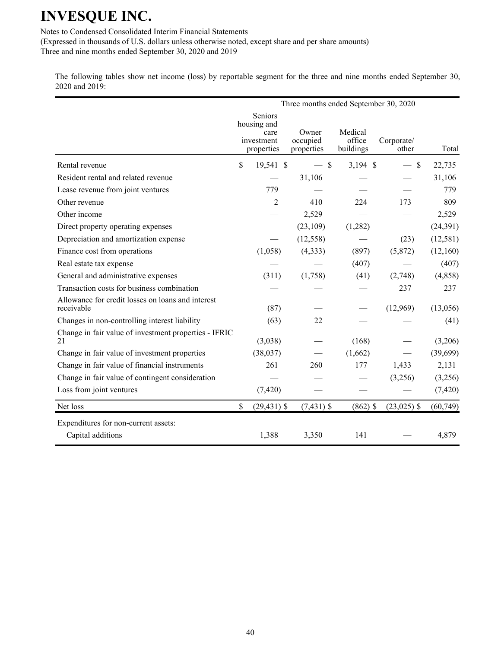Notes to Condensed Consolidated Interim Financial Statements

(Expressed in thousands of U.S. dollars unless otherwise noted, except share and per share amounts) Three and nine months ended September 30, 2020 and 2019

The following tables show net income (loss) by reportable segment for the three and nine months ended September 30, 2020 and 2019:

|                                                                 |                                                            | Three months ended September 30, 2020 |                                |                       |           |
|-----------------------------------------------------------------|------------------------------------------------------------|---------------------------------------|--------------------------------|-----------------------|-----------|
|                                                                 | Seniors<br>housing and<br>care<br>investment<br>properties | Owner<br>occupied<br>properties       | Medical<br>office<br>buildings | Corporate/<br>other   | Total     |
| Rental revenue                                                  | \$<br>19,541 \$                                            | $-$ \$                                | $3,194$ \$                     | \$<br>$\qquad \qquad$ | 22,735    |
| Resident rental and related revenue                             |                                                            | 31,106                                |                                |                       | 31,106    |
| Lease revenue from joint ventures                               | 779                                                        |                                       |                                |                       | 779       |
| Other revenue                                                   | $\overline{2}$                                             | 410                                   | 224                            | 173                   | 809       |
| Other income                                                    |                                                            | 2,529                                 |                                |                       | 2,529     |
| Direct property operating expenses                              |                                                            | (23,109)                              | (1,282)                        |                       | (24, 391) |
| Depreciation and amortization expense                           |                                                            | (12, 558)                             |                                | (23)                  | (12, 581) |
| Finance cost from operations                                    | (1,058)                                                    | (4,333)                               | (897)                          | (5,872)               | (12,160)  |
| Real estate tax expense                                         |                                                            |                                       | (407)                          |                       | (407)     |
| General and administrative expenses                             | (311)                                                      | (1,758)                               | (41)                           | (2,748)               | (4,858)   |
| Transaction costs for business combination                      |                                                            |                                       |                                | 237                   | 237       |
| Allowance for credit losses on loans and interest<br>receivable | (87)                                                       |                                       |                                | (12,969)              | (13,056)  |
| Changes in non-controlling interest liability                   | (63)                                                       | 22                                    |                                |                       | (41)      |
| Change in fair value of investment properties - IFRIC<br>21     | (3,038)                                                    |                                       | (168)                          |                       | (3,206)   |
| Change in fair value of investment properties                   | (38,037)                                                   |                                       | (1,662)                        |                       | (39,699)  |
| Change in fair value of financial instruments                   | 261                                                        | 260                                   | 177                            | 1,433                 | 2,131     |
| Change in fair value of contingent consideration                |                                                            |                                       |                                | (3,256)               | (3,256)   |
| Loss from joint ventures                                        | (7, 420)                                                   |                                       |                                |                       | (7, 420)  |
| Net loss                                                        | \$<br>$(29, 431)$ \$                                       | $(7,431)$ \$                          | $(862)$ \$                     | $(23,025)$ \$         | (60, 749) |
| Expenditures for non-current assets:                            |                                                            |                                       |                                |                       |           |
| Capital additions                                               | 1,388                                                      | 3,350                                 | 141                            |                       | 4,879     |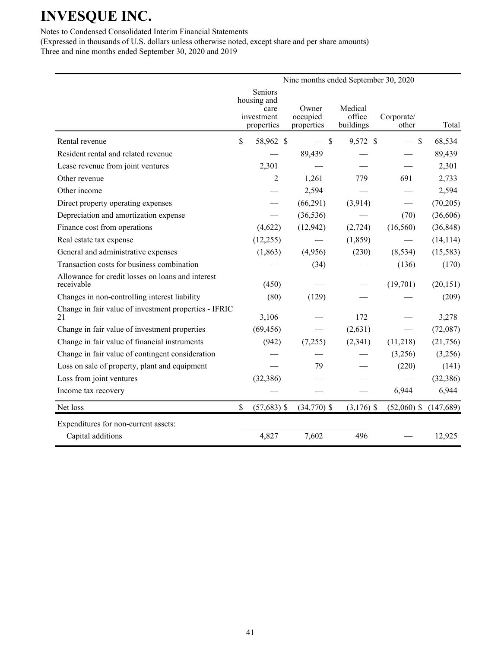Notes to Condensed Consolidated Interim Financial Statements

|                                                                 |                                |                        |                     | Nine months ended September 30, 2020 |           |
|-----------------------------------------------------------------|--------------------------------|------------------------|---------------------|--------------------------------------|-----------|
|                                                                 | Seniors<br>housing and<br>care | Owner                  | Medical             |                                      |           |
|                                                                 | investment<br>properties       | occupied<br>properties | office<br>buildings | Corporate/<br>other                  | Total     |
| Rental revenue                                                  | \$<br>58,962 \$                | $-$ \$                 | 9,572 \$            | $-$ \$                               | 68,534    |
| Resident rental and related revenue                             |                                | 89,439                 |                     |                                      | 89,439    |
| Lease revenue from joint ventures                               | 2,301                          |                        |                     |                                      | 2,301     |
| Other revenue                                                   | 2                              | 1,261                  | 779                 | 691                                  | 2,733     |
| Other income                                                    |                                | 2,594                  |                     |                                      | 2,594     |
| Direct property operating expenses                              |                                | (66, 291)              | (3,914)             |                                      | (70, 205) |
| Depreciation and amortization expense                           |                                | (36, 536)              |                     | (70)                                 | (36,606)  |
| Finance cost from operations                                    | (4,622)                        | (12,942)               | (2,724)             | (16, 560)                            | (36, 848) |
| Real estate tax expense                                         | (12,255)                       |                        | (1, 859)            |                                      | (14, 114) |
| General and administrative expenses                             | (1, 863)                       | (4,956)                | (230)               | (8, 534)                             | (15, 583) |
| Transaction costs for business combination                      |                                | (34)                   |                     | (136)                                | (170)     |
| Allowance for credit losses on loans and interest<br>receivable | (450)                          |                        |                     | (19,701)                             | (20, 151) |
| Changes in non-controlling interest liability                   | (80)                           | (129)                  |                     |                                      | (209)     |
| Change in fair value of investment properties - IFRIC<br>21     | 3,106                          |                        | 172                 |                                      | 3,278     |
| Change in fair value of investment properties                   | (69, 456)                      |                        | (2,631)             |                                      | (72,087)  |
| Change in fair value of financial instruments                   | (942)                          | (7,255)                | (2,341)             | (11,218)                             | (21, 756) |
| Change in fair value of contingent consideration                |                                |                        |                     | (3,256)                              | (3,256)   |
| Loss on sale of property, plant and equipment                   |                                | 79                     |                     | (220)                                | (141)     |
| Loss from joint ventures                                        | (32, 386)                      |                        |                     |                                      | (32, 386) |
| Income tax recovery                                             |                                |                        |                     | 6,944                                | 6,944     |
| Net loss                                                        | \$<br>$(57,683)$ \$            | $(34,770)$ \$          | $(3,176)$ \$        | $(52,060)$ \$                        | (147,689) |
| Expenditures for non-current assets:                            |                                |                        |                     |                                      |           |
| Capital additions                                               | 4,827                          | 7,602                  | 496                 |                                      | 12,925    |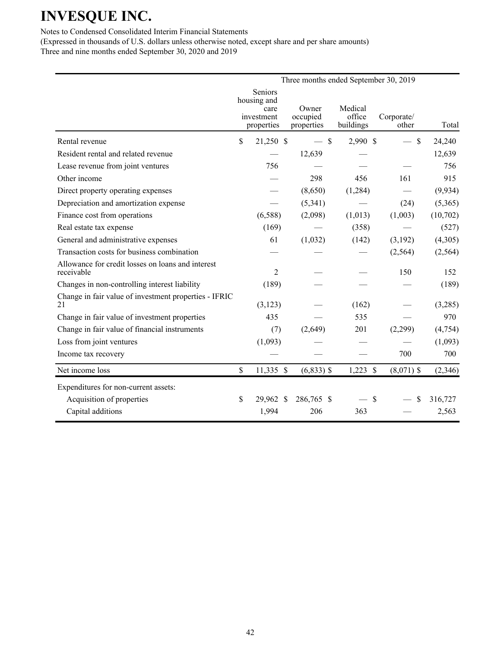Notes to Condensed Consolidated Interim Financial Statements

|                                                                 |                                                            | Three months ended September 30, 2019 |                                |                     |          |
|-----------------------------------------------------------------|------------------------------------------------------------|---------------------------------------|--------------------------------|---------------------|----------|
|                                                                 | Seniors<br>housing and<br>care<br>investment<br>properties | Owner<br>occupied<br>properties       | Medical<br>office<br>buildings | Corporate/<br>other | Total    |
| Rental revenue                                                  | \$<br>21,250 \$                                            | $-$ \$                                | 2,990 \$                       | $\mathcal{S}$       | 24,240   |
| Resident rental and related revenue                             |                                                            | 12,639                                |                                |                     | 12,639   |
| Lease revenue from joint ventures                               | 756                                                        |                                       |                                |                     | 756      |
| Other income                                                    |                                                            | 298                                   | 456                            | 161                 | 915      |
| Direct property operating expenses                              |                                                            | (8,650)                               | (1, 284)                       |                     | (9, 934) |
| Depreciation and amortization expense                           |                                                            | (5,341)                               |                                | (24)                | (5,365)  |
| Finance cost from operations                                    | (6,588)                                                    | (2,098)                               | (1,013)                        | (1,003)             | (10,702) |
| Real estate tax expense                                         | (169)                                                      |                                       | (358)                          |                     | (527)    |
| General and administrative expenses                             | 61                                                         | (1,032)                               | (142)                          | (3,192)             | (4,305)  |
| Transaction costs for business combination                      |                                                            |                                       |                                | (2, 564)            | (2, 564) |
| Allowance for credit losses on loans and interest<br>receivable | $\overline{c}$                                             |                                       |                                | 150                 | 152      |
| Changes in non-controlling interest liability                   | (189)                                                      |                                       |                                |                     | (189)    |
| Change in fair value of investment properties - IFRIC<br>21     | (3, 123)                                                   |                                       | (162)                          |                     | (3,285)  |
| Change in fair value of investment properties                   | 435                                                        |                                       | 535                            |                     | 970      |
| Change in fair value of financial instruments                   | (7)                                                        | (2,649)                               | 201                            | (2,299)             | (4,754)  |
| Loss from joint ventures                                        | (1,093)                                                    |                                       |                                |                     | (1,093)  |
| Income tax recovery                                             |                                                            |                                       |                                | 700                 | 700      |
| Net income loss                                                 | \$<br>11,335 \$                                            | $(6,833)$ \$                          | $1,223$ \$                     | $(8,071)$ \$        | (2,346)  |
| Expenditures for non-current assets:                            |                                                            |                                       |                                |                     |          |
| Acquisition of properties                                       | \$<br>29,962 \$                                            | 286,765 \$                            | $\mathcal{S}$                  | \$                  | 316,727  |
| Capital additions                                               | 1,994                                                      | 206                                   | 363                            |                     | 2,563    |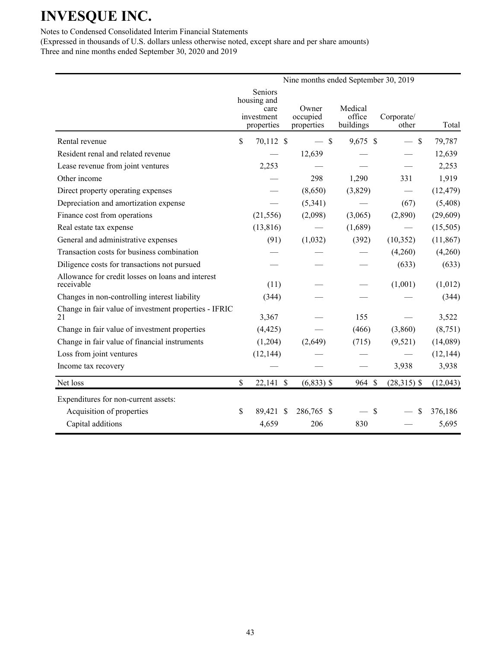Notes to Condensed Consolidated Interim Financial Statements

|                                                                 |                           |                                                            | Nine months ended September 30, 2019 |                                |                                  |           |
|-----------------------------------------------------------------|---------------------------|------------------------------------------------------------|--------------------------------------|--------------------------------|----------------------------------|-----------|
|                                                                 |                           | Seniors<br>housing and<br>care<br>investment<br>properties | Owner<br>occupied<br>properties      | Medical<br>office<br>buildings | Corporate/<br>other              | Total     |
| Rental revenue                                                  | $\boldsymbol{\mathsf{S}}$ | 70,112 \$                                                  | $-$ \$                               | 9,675 \$                       | $\mathcal{S}$<br>$\qquad \qquad$ | 79,787    |
| Resident renal and related revenue                              |                           |                                                            | 12,639                               |                                |                                  | 12,639    |
| Lease revenue from joint ventures                               |                           | 2,253                                                      |                                      |                                |                                  | 2,253     |
| Other income                                                    |                           |                                                            | 298                                  | 1,290                          | 331                              | 1,919     |
| Direct property operating expenses                              |                           |                                                            | (8,650)                              | (3,829)                        |                                  | (12, 479) |
| Depreciation and amortization expense                           |                           |                                                            | (5,341)                              |                                | (67)                             | (5,408)   |
| Finance cost from operations                                    |                           | (21, 556)                                                  | (2,098)                              | (3,065)                        | (2,890)                          | (29,609)  |
| Real estate tax expense                                         |                           | (13, 816)                                                  |                                      | (1,689)                        |                                  | (15,505)  |
| General and administrative expenses                             |                           | (91)                                                       | (1,032)                              | (392)                          | (10, 352)                        | (11, 867) |
| Transaction costs for business combination                      |                           |                                                            |                                      |                                | (4,260)                          | (4,260)   |
| Diligence costs for transactions not pursued                    |                           |                                                            |                                      |                                | (633)                            | (633)     |
| Allowance for credit losses on loans and interest<br>receivable |                           | (11)                                                       |                                      |                                | (1,001)                          | (1,012)   |
| Changes in non-controlling interest liability                   |                           | (344)                                                      |                                      |                                |                                  | (344)     |
| Change in fair value of investment properties - IFRIC<br>21     |                           | 3,367                                                      |                                      | 155                            |                                  | 3,522     |
| Change in fair value of investment properties                   |                           | (4, 425)                                                   |                                      | (466)                          | (3,860)                          | (8,751)   |
| Change in fair value of financial instruments                   |                           | (1,204)                                                    | (2,649)                              | (715)                          | (9,521)                          | (14,089)  |
| Loss from joint ventures                                        |                           | (12, 144)                                                  |                                      |                                |                                  | (12, 144) |
| Income tax recovery                                             |                           |                                                            |                                      |                                | 3,938                            | 3,938     |
| Net loss                                                        | \$                        | $22,141$ \$                                                | $(6,833)$ \$                         | 964 \$                         | $(28,315)$ \$                    | (12,043)  |
| Expenditures for non-current assets:                            |                           |                                                            |                                      |                                |                                  |           |
| Acquisition of properties                                       | \$                        | 89,421 \$                                                  | 286,765 \$                           | $\mathcal{S}$                  | \$                               | 376,186   |
| Capital additions                                               |                           | 4,659                                                      | 206                                  | 830                            |                                  | 5,695     |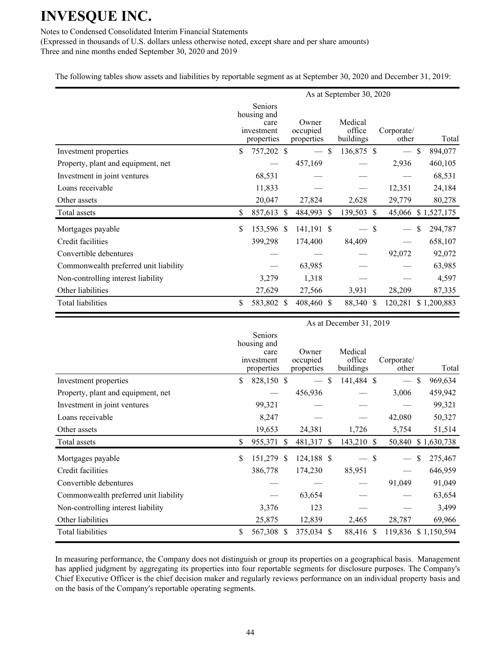Notes to Condensed Consolidated Interim Financial Statements

(Expressed in thousands of U.S. dollars unless otherwise noted, except share and per share amounts) Three and nine months ended September 30, 2020 and 2019

The following tables show assets and liabilities by reportable segment as at September 30, 2020 and December 31, 2019:

|                                       |                                                            |                                 |               | As at September 30, 2020       |               |                          |               |             |
|---------------------------------------|------------------------------------------------------------|---------------------------------|---------------|--------------------------------|---------------|--------------------------|---------------|-------------|
|                                       | Seniors<br>housing and<br>care<br>investment<br>properties | Owner<br>occupied<br>properties |               | Medical<br>office<br>buildings |               | Corporate/<br>other      |               | Total       |
| Investment properties                 | \$<br>757,202 \$                                           |                                 | <sup>\$</sup> | 136,875 \$                     |               | $\overline{\phantom{0}}$ | $\mathbb{S}$  | 894,077     |
| Property, plant and equipment, net    |                                                            | 457,169                         |               |                                |               | 2,936                    |               | 460,105     |
| Investment in joint ventures          | 68,531                                                     |                                 |               |                                |               |                          |               | 68,531      |
| Loans receivable                      | 11,833                                                     |                                 |               |                                |               | 12,351                   |               | 24,184      |
| Other assets                          | 20,047                                                     | 27,824                          |               | 2,628                          |               | 29,779                   |               | 80,278      |
| Total assets                          | \$<br>857,613 \$                                           | 484,993 \$                      |               | 139,503                        | <sup>S</sup>  | 45,066                   |               | \$1,527,175 |
| Mortgages payable                     | \$<br>153,596 \$                                           | 141,191 \$                      |               |                                | \$            |                          | <sup>\$</sup> | 294,787     |
| Credit facilities                     | 399,298                                                    | 174,400                         |               | 84,409                         |               |                          |               | 658,107     |
| Convertible debentures                |                                                            |                                 |               |                                |               | 92,072                   |               | 92,072      |
| Commonwealth preferred unit liability |                                                            | 63,985                          |               |                                |               |                          |               | 63,985      |
| Non-controlling interest liability    | 3,279                                                      | 1,318                           |               |                                |               |                          |               | 4,597       |
| Other liabilities                     | 27,629                                                     | 27,566                          |               | 3,931                          |               | 28,209                   |               | 87,335      |
| Total liabilities                     | \$<br>583,802 \$                                           | 408,460 \$                      |               | 88,340                         | <sup>\$</sup> | 120,281                  |               | \$1,200,883 |

|                                       | As at December 31, 2019 |                                                                   |      |                                 |    |                                |  |                     |    |             |
|---------------------------------------|-------------------------|-------------------------------------------------------------------|------|---------------------------------|----|--------------------------------|--|---------------------|----|-------------|
|                                       |                         | <b>Seniors</b><br>housing and<br>care<br>investment<br>properties |      | Owner<br>occupied<br>properties |    | Medical<br>office<br>buildings |  | Corporate/<br>other |    | Total       |
| Investment properties                 | \$                      | 828,150 \$                                                        |      |                                 | \$ | 141,484 \$                     |  |                     | \$ | 969,634     |
| Property, plant and equipment, net    |                         |                                                                   |      | 456,936                         |    |                                |  | 3,006               |    | 459,942     |
| Investment in joint ventures          |                         | 99,321                                                            |      |                                 |    |                                |  |                     |    | 99,321      |
| Loans receivable                      |                         | 8,247                                                             |      |                                 |    |                                |  | 42,080              |    | 50,327      |
| Other assets                          |                         | 19,653                                                            |      | 24,381                          |    | 1,726                          |  | 5,754               |    | 51,514      |
| Total assets                          | \$                      | 955,371                                                           | - \$ | 481,317 \$                      |    | 143,210 \$                     |  | 50,840              |    | \$1,630,738 |
| Mortgages payable                     | \$                      | 151,279 \$                                                        |      | 124,188 \$                      |    | — \$                           |  |                     | S  | 275,467     |
| Credit facilities                     |                         | 386,778                                                           |      | 174,230                         |    | 85,951                         |  |                     |    | 646,959     |
| Convertible debentures                |                         |                                                                   |      |                                 |    |                                |  | 91,049              |    | 91,049      |
| Commonwealth preferred unit liability |                         |                                                                   |      | 63,654                          |    |                                |  |                     |    | 63,654      |
| Non-controlling interest liability    |                         | 3,376                                                             |      | 123                             |    |                                |  |                     |    | 3,499       |
| Other liabilities                     |                         | 25,875                                                            |      | 12,839                          |    | 2,465                          |  | 28,787              |    | 69,966      |
| Total liabilities                     | \$                      | 567,308 \$                                                        |      | 375,034 \$                      |    | 88,416 \$                      |  | 119,836 \$1,150,594 |    |             |

In measuring performance, the Company does not distinguish or group its properties on a geographical basis. Management has applied judgment by aggregating its properties into four reportable segments for disclosure purposes. The Company's Chief Executive Officer is the chief decision maker and regularly reviews performance on an individual property basis and on the basis of the Company's reportable operating segments.